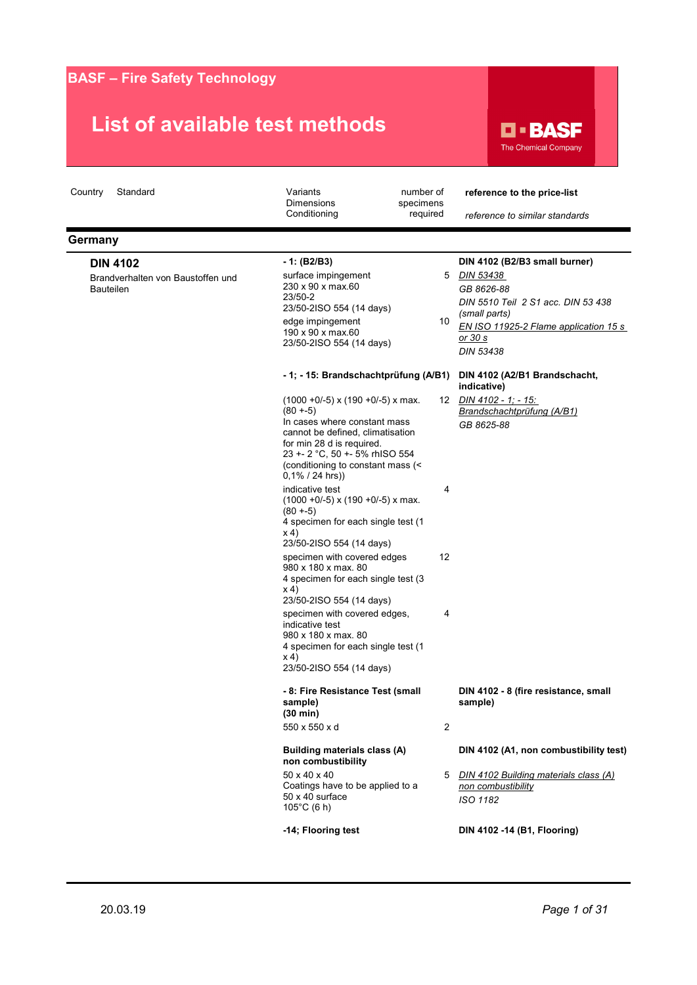

| Standard<br>Country                                                      | Variants<br><b>Dimensions</b>                                                                                                                      | number of<br>specimens | reference to the price-list                                                                                       |
|--------------------------------------------------------------------------|----------------------------------------------------------------------------------------------------------------------------------------------------|------------------------|-------------------------------------------------------------------------------------------------------------------|
|                                                                          | Conditioning                                                                                                                                       | required               | reference to similar standards                                                                                    |
| Germany                                                                  |                                                                                                                                                    |                        |                                                                                                                   |
| <b>DIN 4102</b><br>Brandverhalten von Baustoffen und<br><b>Bauteilen</b> | - 1: (B2/B3)<br>surface impingement<br>230 x 90 x max.60<br>23/50-2<br>23/50-2ISO 554 (14 days)<br>edge impingement                                | 10                     | DIN 4102 (B2/B3 small burner)<br>5 DIN 53438<br>GB 8626-88<br>DIN 5510 Teil 2 S1 acc. DIN 53 438<br>(small parts) |
|                                                                          | 190 x 90 x max.60<br>23/50-2ISO 554 (14 days)                                                                                                      |                        | EN ISO 11925-2 Flame application 15 s<br><u>or 30 s</u><br>DIN 53438                                              |
|                                                                          | - 1; - 15: Brandschachtprüfung (A/B1)                                                                                                              |                        | DIN 4102 (A2/B1 Brandschacht,<br>indicative)                                                                      |
|                                                                          | $(1000 + 0/-5)$ x $(190 + 0/-5)$ x max.<br>$(80 + -5)$<br>In cases where constant mass<br>cannot be defined, climatisation                         |                        | 12 DIN 4102 - 1; - 15:<br>Brandschachtprüfung (A/B1)<br>GB 8625-88                                                |
|                                                                          | for min 28 d is required.<br>23 +- 2 °C, 50 +- 5% rhISO 554<br>(conditioning to constant mass (<<br>$0,1\%$ / 24 hrs))                             |                        |                                                                                                                   |
|                                                                          | indicative test<br>$(1000 + 0/-5)$ x $(190 + 0/-5)$ x max.<br>$(80 + -5)$<br>4 specimen for each single test (1<br>x 4<br>23/50-2ISO 554 (14 days) | 4                      |                                                                                                                   |
|                                                                          | specimen with covered edges<br>980 x 180 x max. 80<br>4 specimen for each single test (3<br>x 4<br>23/50-2ISO 554 (14 days)                        | 12                     |                                                                                                                   |
|                                                                          | specimen with covered edges,<br>indicative test<br>980 x 180 x max. 80<br>4 specimen for each single test (1<br>x 4)<br>23/50-2ISO 554 (14 days)   | 4                      |                                                                                                                   |
|                                                                          | - 8: Fire Resistance Test (small<br>sample)<br>(30 min)                                                                                            |                        | DIN 4102 - 8 (fire resistance, small<br>sample)                                                                   |
|                                                                          | 550 x 550 x d                                                                                                                                      | $\overline{2}$         |                                                                                                                   |
|                                                                          | Building materials class (A)<br>non combustibility                                                                                                 |                        | DIN 4102 (A1, non combustibility test)                                                                            |
|                                                                          | 50 x 40 x 40<br>Coatings have to be applied to a<br>$50 \times 40$ surface<br>$105^{\circ}$ C (6 h)                                                | 5                      | DIN 4102 Building materials class (A)<br>non combustibility<br>ISO 1182                                           |
|                                                                          | -14; Flooring test                                                                                                                                 |                        | DIN 4102 -14 (B1, Flooring)                                                                                       |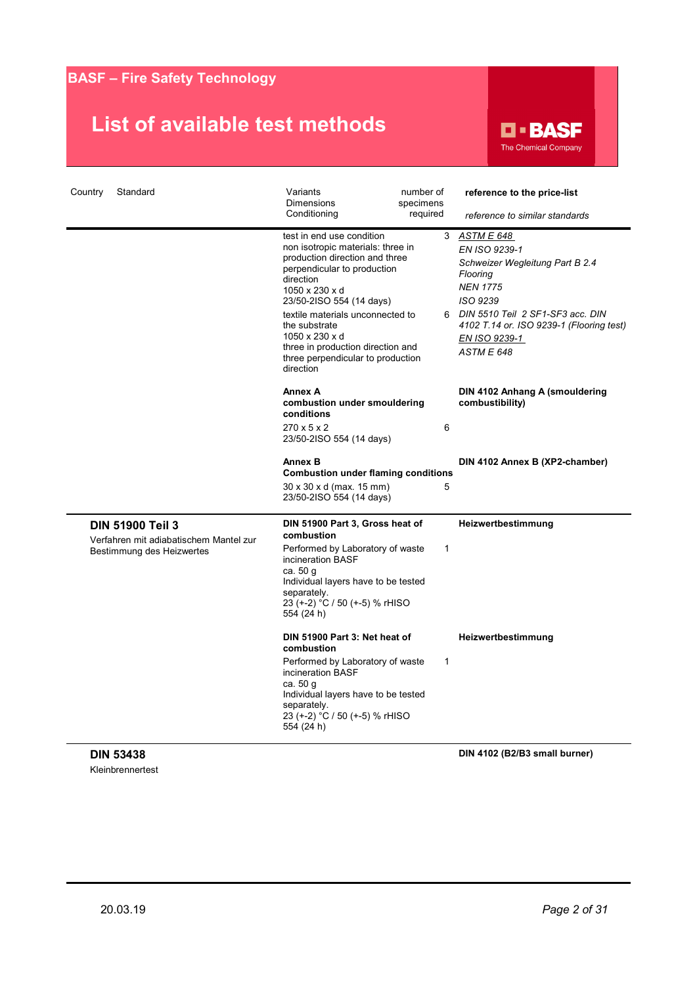### **List of available test methods**



| Country | Standard                                                                                       | Variants<br><b>Dimensions</b><br>Conditioning                                                                                                                                                                                                                                                                                                            | number of<br>specimens<br>required | reference to the price-list<br>reference to similar standards                                                                                                                                                                       |
|---------|------------------------------------------------------------------------------------------------|----------------------------------------------------------------------------------------------------------------------------------------------------------------------------------------------------------------------------------------------------------------------------------------------------------------------------------------------------------|------------------------------------|-------------------------------------------------------------------------------------------------------------------------------------------------------------------------------------------------------------------------------------|
|         |                                                                                                | test in end use condition<br>non isotropic materials: three in<br>production direction and three<br>perpendicular to production<br>direction<br>1050 x 230 x d<br>23/50-2ISO 554 (14 days)<br>textile materials unconnected to<br>the substrate<br>1050 x 230 x d<br>three in production direction and<br>three perpendicular to production<br>direction |                                    | 3 ASTM E 648<br>EN ISO 9239-1<br>Schweizer Wegleitung Part B 2.4<br>Flooring<br><b>NEN 1775</b><br>ISO 9239<br>6 DIN 5510 Teil 2 SF1-SF3 acc. DIN<br>4102 T.14 or. ISO 9239-1 (Flooring test)<br>EN ISO 9239-1<br><b>ASTM E 648</b> |
|         |                                                                                                | <b>Annex A</b><br>combustion under smouldering<br>conditions<br>$270 \times 5 \times 2$<br>23/50-2ISO 554 (14 days)                                                                                                                                                                                                                                      | 6                                  | DIN 4102 Anhang A (smouldering<br>combustibility)                                                                                                                                                                                   |
|         |                                                                                                | <b>Annex B</b><br><b>Combustion under flaming conditions</b><br>30 x 30 x d (max. 15 mm)<br>23/50-2ISO 554 (14 days)                                                                                                                                                                                                                                     | 5                                  | DIN 4102 Annex B (XP2-chamber)                                                                                                                                                                                                      |
|         | <b>DIN 51900 Teil 3</b><br>Verfahren mit adiabatischem Mantel zur<br>Bestimmung des Heizwertes | DIN 51900 Part 3, Gross heat of<br>combustion<br>Performed by Laboratory of waste<br>incineration BASF<br>ca. 50 g<br>Individual layers have to be tested<br>separately.<br>23 (+-2) °C / 50 (+-5) % rHISO<br>554 (24 h)                                                                                                                                 | $\mathbf{1}$                       | Heizwertbestimmung                                                                                                                                                                                                                  |
|         |                                                                                                | DIN 51900 Part 3: Net heat of<br>combustion<br>Performed by Laboratory of waste<br>incineration BASF<br>ca. 50 g<br>Individual layers have to be tested<br>separately.<br>23 (+-2) °C / 50 (+-5) % rHISO<br>554 (24 h)                                                                                                                                   | 1                                  | Heizwertbestimmung                                                                                                                                                                                                                  |

**DIN 53438** Kleinbrennertest **DIN 4102 (B2/B3 small burner)**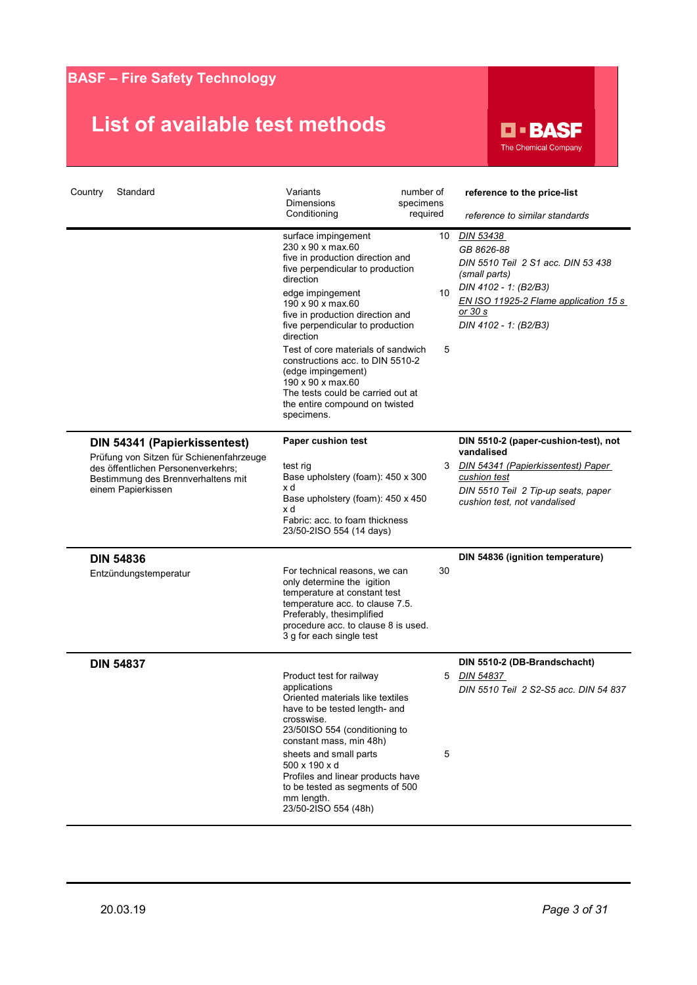

| Country<br>Standard                                                                                                                                                        | Variants<br>number of<br><b>Dimensions</b><br>specimens                                                                                                                                                                                                                                                                                                                                                                                                               |               | reference to the price-list                                                                                                                                                          |
|----------------------------------------------------------------------------------------------------------------------------------------------------------------------------|-----------------------------------------------------------------------------------------------------------------------------------------------------------------------------------------------------------------------------------------------------------------------------------------------------------------------------------------------------------------------------------------------------------------------------------------------------------------------|---------------|--------------------------------------------------------------------------------------------------------------------------------------------------------------------------------------|
|                                                                                                                                                                            | Conditioning<br>required                                                                                                                                                                                                                                                                                                                                                                                                                                              |               | reference to similar standards                                                                                                                                                       |
|                                                                                                                                                                            | surface impingement<br>230 x 90 x max.60<br>five in production direction and<br>five perpendicular to production<br>direction<br>edge impingement<br>190 x 90 x max.60<br>five in production direction and<br>five perpendicular to production<br>direction<br>Test of core materials of sandwich<br>constructions acc. to DIN 5510-2<br>(edge impingement)<br>190 x 90 x max.60<br>The tests could be carried out at<br>the entire compound on twisted<br>specimens. | 10<br>10<br>5 | DIN 53438<br>GB 8626-88<br>DIN 5510 Teil 2 S1 acc. DIN 53 438<br>(small parts)<br>DIN 4102 - 1: (B2/B3)<br>EN ISO 11925-2 Flame application 15 s<br>or 30 s<br>DIN 4102 - 1: (B2/B3) |
| DIN 54341 (Papierkissentest)<br>Prüfung von Sitzen für Schienenfahrzeuge<br>des öffentlichen Personenverkehrs;<br>Bestimmung des Brennverhaltens mit<br>einem Papierkissen | Paper cushion test<br>test rig<br>Base upholstery (foam): 450 x 300<br>x d<br>Base upholstery (foam): 450 x 450<br>x d<br>Fabric: acc. to foam thickness<br>23/50-2ISO 554 (14 days)                                                                                                                                                                                                                                                                                  | 3             | DIN 5510-2 (paper-cushion-test), not<br>vandalised<br>DIN 54341 (Papierkissentest) Paper<br>cushion test<br>DIN 5510 Teil 2 Tip-up seats, paper<br>cushion test, not vandalised      |
| <b>DIN 54836</b><br>Entzündungstemperatur                                                                                                                                  | For technical reasons, we can<br>only determine the igition<br>temperature at constant test<br>temperature acc. to clause 7.5.<br>Preferably, thesimplified<br>procedure acc. to clause 8 is used.<br>3 g for each single test                                                                                                                                                                                                                                        | 30            | DIN 54836 (ignition temperature)                                                                                                                                                     |
| <b>DIN 54837</b>                                                                                                                                                           | Product test for railway<br>applications<br>Oriented materials like textiles<br>have to be tested length- and<br>crosswise.<br>23/50ISO 554 (conditioning to<br>constant mass, min 48h)<br>sheets and small parts<br>500 x 190 x d<br>Profiles and linear products have<br>to be tested as segments of 500<br>mm length.<br>23/50-2ISO 554 (48h)                                                                                                                      | 5<br>5        | DIN 5510-2 (DB-Brandschacht)<br>DIN 54837<br>DIN 5510 Teil 2 S2-S5 acc. DIN 54 837                                                                                                   |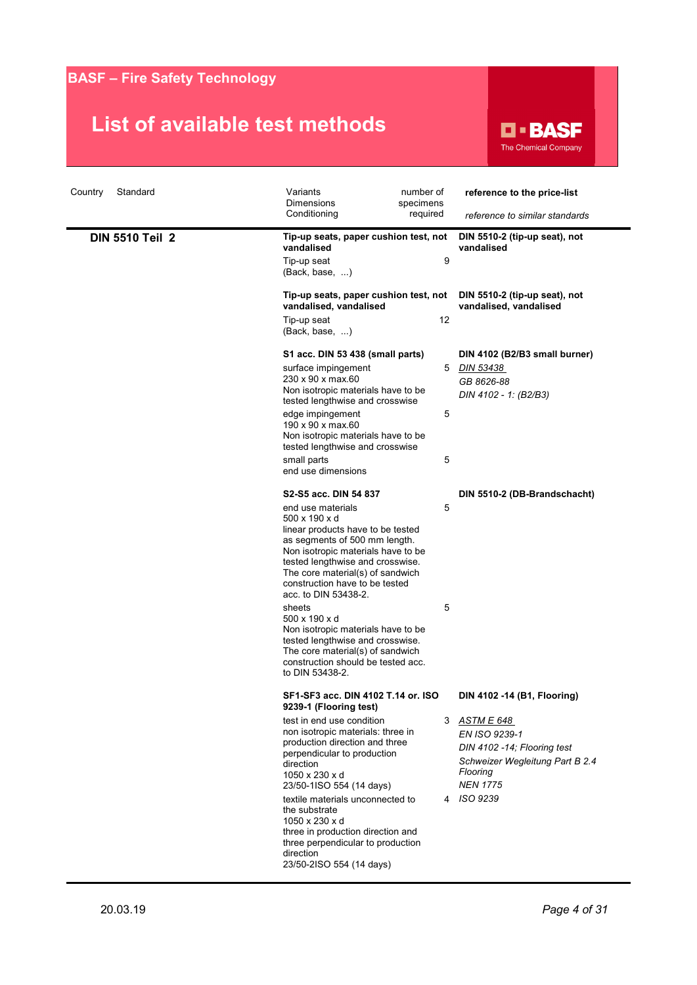

| Standard<br>Country<br><b>DIN 5510 Teil 2</b> | Variants<br>number of<br><b>Dimensions</b><br>specimens<br>Conditioning<br>required<br>Tip-up seats, paper cushion test, not<br>vandalised                                                                                                                                                                                                                                                                                                                                                                                                     | reference to the price-list<br>reference to similar standards<br>DIN 5510-2 (tip-up seat), not<br>vandalised                                                                   |
|-----------------------------------------------|------------------------------------------------------------------------------------------------------------------------------------------------------------------------------------------------------------------------------------------------------------------------------------------------------------------------------------------------------------------------------------------------------------------------------------------------------------------------------------------------------------------------------------------------|--------------------------------------------------------------------------------------------------------------------------------------------------------------------------------|
|                                               | 9<br>Tip-up seat<br>(Back, base, )<br>Tip-up seats, paper cushion test, not<br>vandalised, vandalised                                                                                                                                                                                                                                                                                                                                                                                                                                          | DIN 5510-2 (tip-up seat), not<br>vandalised, vandalised                                                                                                                        |
|                                               | 12<br>Tip-up seat<br>(Back, base, )                                                                                                                                                                                                                                                                                                                                                                                                                                                                                                            |                                                                                                                                                                                |
|                                               | S1 acc. DIN 53 438 (small parts)<br>surface impingement<br>5<br>230 x 90 x max.60<br>Non isotropic materials have to be<br>tested lengthwise and crosswise<br>5<br>edge impingement<br>190 x 90 x max.60                                                                                                                                                                                                                                                                                                                                       | DIN 4102 (B2/B3 small burner)<br>DIN 53438<br>GB 8626-88<br>DIN 4102 - 1: (B2/B3)                                                                                              |
|                                               | Non isotropic materials have to be<br>tested lengthwise and crosswise<br>5<br>small parts<br>end use dimensions                                                                                                                                                                                                                                                                                                                                                                                                                                |                                                                                                                                                                                |
|                                               | S <sub>2</sub> -S <sub>5</sub> acc. DIN 54 837<br>5<br>end use materials<br>500 x 190 x d<br>linear products have to be tested<br>as segments of 500 mm length.<br>Non isotropic materials have to be<br>tested lengthwise and crosswise.<br>The core material(s) of sandwich<br>construction have to be tested<br>acc. to DIN 53438-2.<br>5<br>sheets<br>500 x 190 x d<br>Non isotropic materials have to be<br>tested lengthwise and crosswise.<br>The core material(s) of sandwich<br>construction should be tested acc.<br>to DIN 53438-2. | DIN 5510-2 (DB-Brandschacht)                                                                                                                                                   |
|                                               | SF1-SF3 acc. DIN 4102 T.14 or. ISO<br>9239-1 (Flooring test)<br>test in end use condition<br>3<br>non isotropic materials: three in<br>production direction and three<br>perpendicular to production<br>direction<br>1050 x 230 x d<br>23/50-1ISO 554 (14 days)<br>textile materials unconnected to<br>4<br>the substrate<br>1050 x 230 x d<br>three in production direction and<br>three perpendicular to production<br>direction<br>23/50-2ISO 554 (14 days)                                                                                 | DIN 4102 -14 (B1, Flooring)<br><u>ASTM E 648</u><br>EN ISO 9239-1<br>DIN 4102 -14; Flooring test<br>Schweizer Wegleitung Part B 2.4<br>Flooring<br><b>NEN 1775</b><br>ISO 9239 |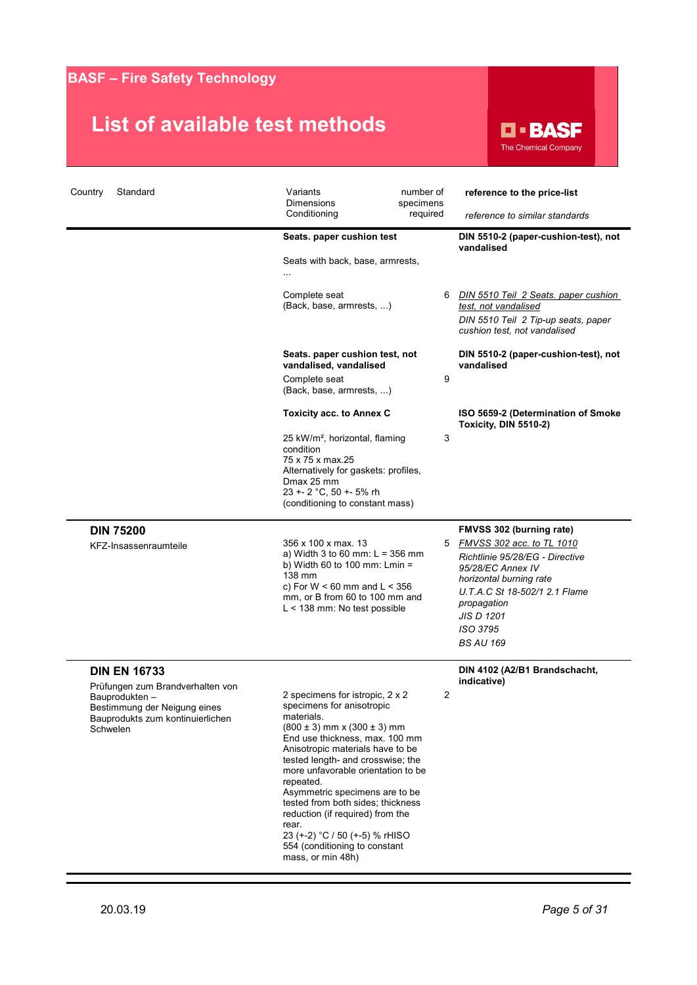

| Country<br>Standard                                                                                                                                       | Variants<br><b>Dimensions</b><br>Conditioning<br>Seats. paper cushion test<br>Seats with back, base, armrests,<br>Complete seat<br>(Back, base, armrests, )                                                                                                                                                                                                                                                                                                                                 | number of<br>specimens<br>required<br>6 | reference to the price-list<br>reference to similar standards<br>DIN 5510-2 (paper-cushion-test), not<br>vandalised<br>DIN 5510 Teil 2 Seats. paper cushion<br>test, not vandalised<br>DIN 5510 Teil 2 Tip-up seats, paper                           |
|-----------------------------------------------------------------------------------------------------------------------------------------------------------|---------------------------------------------------------------------------------------------------------------------------------------------------------------------------------------------------------------------------------------------------------------------------------------------------------------------------------------------------------------------------------------------------------------------------------------------------------------------------------------------|-----------------------------------------|------------------------------------------------------------------------------------------------------------------------------------------------------------------------------------------------------------------------------------------------------|
|                                                                                                                                                           | Seats. paper cushion test, not<br>vandalised, vandalised<br>Complete seat<br>(Back, base, armrests, )                                                                                                                                                                                                                                                                                                                                                                                       | 9                                       | cushion test, not vandalised<br>DIN 5510-2 (paper-cushion-test), not<br>vandalised                                                                                                                                                                   |
|                                                                                                                                                           | <b>Toxicity acc. to Annex C</b><br>25 kW/m <sup>2</sup> , horizontal, flaming<br>condition<br>75 x 75 x max.25<br>Alternatively for gaskets: profiles,<br>Dmax 25 mm<br>23 +- 2 °C, 50 +- 5% rh<br>(conditioning to constant mass)                                                                                                                                                                                                                                                          | 3                                       | ISO 5659-2 (Determination of Smoke<br><b>Toxicity, DIN 5510-2)</b>                                                                                                                                                                                   |
| <b>DIN 75200</b><br>KFZ-Insassenraumteile                                                                                                                 | 356 x 100 x max. 13<br>a) Width 3 to 60 mm: $L = 356$ mm<br>b) Width 60 to 100 mm: $Lmin =$<br>138 mm<br>c) For $W < 60$ mm and $L < 356$<br>mm, or B from 60 to 100 mm and<br>L < 138 mm: No test possible                                                                                                                                                                                                                                                                                 | 5                                       | <b>FMVSS 302 (burning rate)</b><br>FMVSS 302 acc. to TL 1010<br>Richtlinie 95/28/EG - Directive<br>95/28/EC Annex IV<br>horizontal burning rate<br>U.T.A.C St 18-502/1 2.1 Flame<br>propagation<br><b>JIS D 1201</b><br>ISO 3795<br><b>BS AU 169</b> |
| <b>DIN EN 16733</b><br>Prüfungen zum Brandverhalten von<br>Bauprodukten –<br>Bestimmung der Neigung eines<br>Bauprodukts zum kontinuierlichen<br>Schwelen | 2 specimens for istropic, 2 x 2<br>specimens for anisotropic<br>materials.<br>$(800 \pm 3)$ mm x $(300 \pm 3)$ mm<br>End use thickness, max. 100 mm<br>Anisotropic materials have to be<br>tested length- and crosswise; the<br>more unfavorable orientation to be<br>repeated.<br>Asymmetric specimens are to be<br>tested from both sides; thickness<br>reduction (if required) from the<br>rear.<br>23 (+-2) °C / 50 (+-5) % rHISO<br>554 (conditioning to constant<br>mass, or min 48h) |                                         | DIN 4102 (A2/B1 Brandschacht,<br>indicative)                                                                                                                                                                                                         |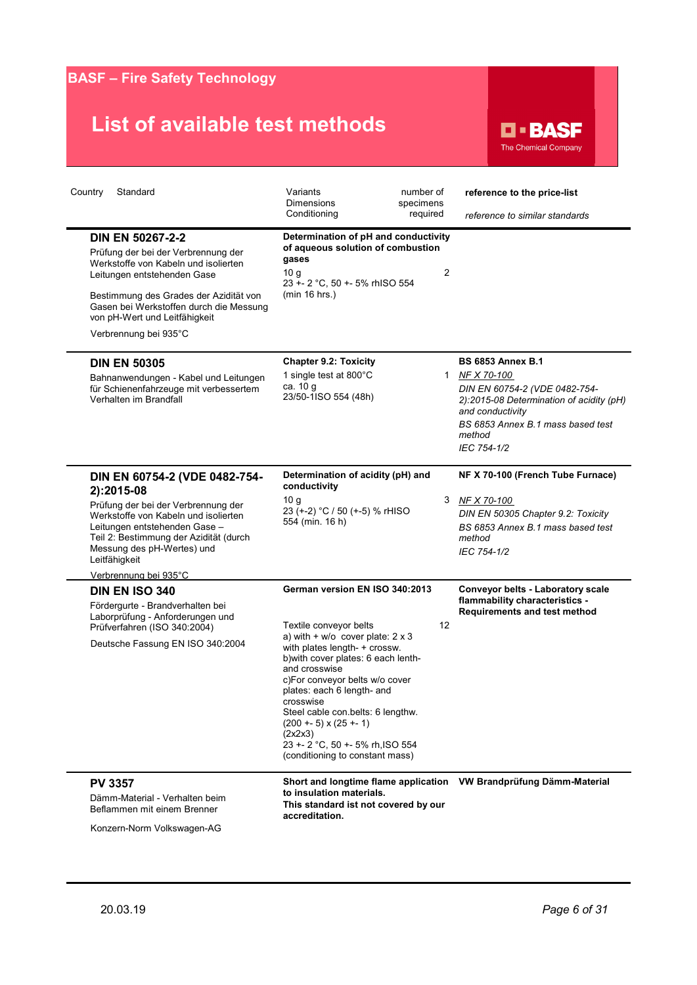# **List of available test methods**



| Country<br>Standard                                                                                                                                                                                                                                                                  | Variants<br>number of<br><b>Dimensions</b><br>specimens<br>Conditioning<br>required                                                                                                                                                                                                                                                                                                                                                | reference to the price-list<br>reference to similar standards                                                                                                                                            |
|--------------------------------------------------------------------------------------------------------------------------------------------------------------------------------------------------------------------------------------------------------------------------------------|------------------------------------------------------------------------------------------------------------------------------------------------------------------------------------------------------------------------------------------------------------------------------------------------------------------------------------------------------------------------------------------------------------------------------------|----------------------------------------------------------------------------------------------------------------------------------------------------------------------------------------------------------|
| <b>DIN EN 50267-2-2</b><br>Prüfung der bei der Verbrennung der<br>Werkstoffe von Kabeln und isolierten<br>Leitungen entstehenden Gase<br>Bestimmung des Grades der Azidität von<br>Gasen bei Werkstoffen durch die Messung<br>von pH-Wert und Leitfähigkeit<br>Verbrennung bei 935°C | Determination of pH and conductivity<br>of aqueous solution of combustion<br>gases<br>10 <sub>q</sub><br>23 +- 2 °C, 50 +- 5% rhISO 554<br>(min 16 hrs.)                                                                                                                                                                                                                                                                           | $\overline{2}$                                                                                                                                                                                           |
| <b>DIN EN 50305</b><br>Bahnanwendungen - Kabel und Leitungen<br>für Schienenfahrzeuge mit verbessertem<br>Verhalten im Brandfall                                                                                                                                                     | <b>Chapter 9.2: Toxicity</b><br>1 single test at 800°C<br>ca. 10 g<br>23/50-1ISO 554 (48h)                                                                                                                                                                                                                                                                                                                                         | <b>BS 6853 Annex B.1</b><br>1 NF X 70-100<br>DIN EN 60754-2 (VDE 0482-754-<br>2):2015-08 Determination of acidity (pH)<br>and conductivity<br>BS 6853 Annex B.1 mass based test<br>method<br>IEC 754-1/2 |
| DIN EN 60754-2 (VDE 0482-754-<br>2):2015-08<br>Prüfung der bei der Verbrennung der<br>Werkstoffe von Kabeln und isolierten<br>Leitungen entstehenden Gase-<br>Teil 2: Bestimmung der Azidität (durch<br>Messung des pH-Wertes) und<br>Leitfähigkeit<br>Verbrennung bei 935°C         | Determination of acidity (pH) and<br>conductivity<br>10q<br>23 (+-2) °C / 50 (+-5) % rHISO<br>554 (min. 16 h)                                                                                                                                                                                                                                                                                                                      | NF X 70-100 (French Tube Furnace)<br>3<br>NF X 70-100<br>DIN EN 50305 Chapter 9.2: Toxicity<br>BS 6853 Annex B.1 mass based test<br>method<br>IEC 754-1/2                                                |
| <b>DIN EN ISO 340</b><br>Fördergurte - Brandverhalten bei<br>Laborprüfung - Anforderungen und<br>Prüfverfahren (ISO 340:2004)<br>Deutsche Fassung EN ISO 340:2004                                                                                                                    | German version EN ISO 340:2013<br>Textile conveyor belts<br>12<br>a) with $+ w/o$ cover plate: $2 x 3$<br>with plates length- + crossw.<br>b) with cover plates: 6 each lenth-<br>and crosswise<br>c)For conveyor belts w/o cover<br>plates: each 6 length- and<br>crosswise<br>Steel cable con.belts: 6 lengthw.<br>$(200 + 5) \times (25 + 1)$<br>(2x2x3)<br>23 +- 2 °C, 50 +- 5% rh, ISO 554<br>(conditioning to constant mass) | Conveyor belts - Laboratory scale<br>flammability characteristics -<br>Requirements and test method                                                                                                      |
| <b>PV 3357</b><br>Dämm-Material - Verhalten beim<br>Beflammen mit einem Brenner                                                                                                                                                                                                      | Short and longtime flame application<br>to insulation materials.<br>This standard ist not covered by our<br>accreditation.                                                                                                                                                                                                                                                                                                         | VW Brandprüfung Dämm-Material                                                                                                                                                                            |

Konzern-Norm Volkswagen-AG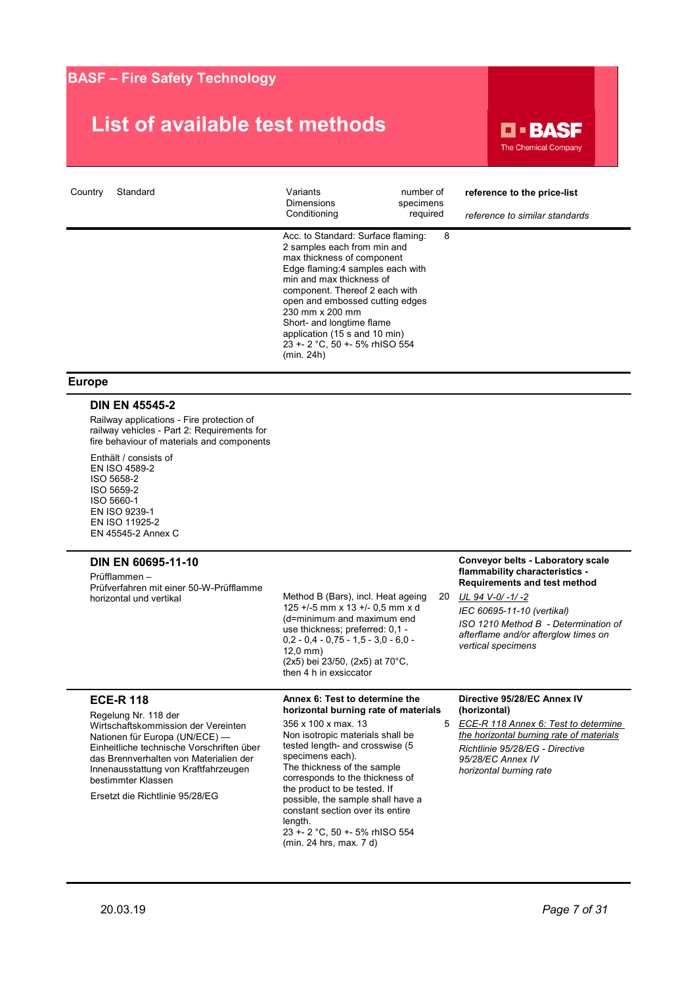### **List of available test methods**



| Country | Standard | Variants<br><b>Dimensions</b><br>Conditioning                                                                                                                                                                                                                                                                                                                         | number of<br>specimens<br>required | reference to the price-list<br>reference to similar standards |
|---------|----------|-----------------------------------------------------------------------------------------------------------------------------------------------------------------------------------------------------------------------------------------------------------------------------------------------------------------------------------------------------------------------|------------------------------------|---------------------------------------------------------------|
|         |          | Acc. to Standard: Surface flaming:<br>2 samples each from min and<br>max thickness of component<br>Edge flaming:4 samples each with<br>min and max thickness of<br>component. Thereof 2 each with<br>open and embossed cutting edges<br>230 mm x 200 mm<br>Short- and longtime flame<br>application (15 s and 10 min)<br>23 +- 2 °C, 50 +- 5% rhISO 554<br>(min. 24h) | 8                                  |                                                               |

#### **Europe**

#### **DIN EN 45545-2**

Railway applications - Fire protection of railway vehicles - Part 2: Requirements for fire behaviour of materials and components

Enthält / consists of EN ISO 4589-2 ISO 5658-2 ISO 5659-2 ISO 5660-1 EN ISO 9239-1 EN ISO 11925-2 EN 45545-2 Annex C

#### **DIN EN 60695-11-10**

Prüfflammen – Prüfverfahren mit einer 50-W-Prüfflamme horizontal und vertikal

Method B (Bars), incl. Heat ageing 125 +/-5 mm x 13 +/- 0,5 mm x d (d=minimum and maximum end use thickness; preferred: 0,1 -  $0,2 - 0,4 - 0,75 - 1,5 - 3,0 - 6,0 -$ 12,0 mm) (2x5) bei 23/50, (2x5) at 70°C, then 4 h in exsiccator

#### **Conveyor belts - Laboratory scale flammability characteristics - Requirements and test method**

*UL 94 V-0/ -1/ -2 IEC 60695-11-10 (vertikal) ISO 1210 Method B - Determination of afterflame and/or afterglow times on vertical specimens*

#### **ECE-R 118**

Regelung Nr. 118 der Wirtschaftskommission der Vereinten Nationen für Europa (UN/ECE) — Einheitliche technische Vorschriften über das Brennverhalten von Materialien der Innenausstattung von Kraftfahrzeugen bestimmter Klassen

Ersetzt die Richtlinie 95/28/EG

**horizontal burning rate of materials** 356 x 100 x max. 13 Non isotropic materials shall be tested length- and crosswise (5 specimens each). The thickness of the sample corresponds to the thickness of the product to be tested. If possible, the sample shall have a constant section over its entire length. 23 +- 2 °C, 50 +- 5% rhISO 554 (min. 24 hrs, max. 7 d)

**Annex 6: Test to determine the** 

#### **Directive 95/28/EC Annex IV (horizontal)**

*ECE-R 118 Annex 6: Test to determine the horizontal burning rate of materials Richtlinie 95/28/EG - Directive 95/28/EC Annex IV horizontal burning rate*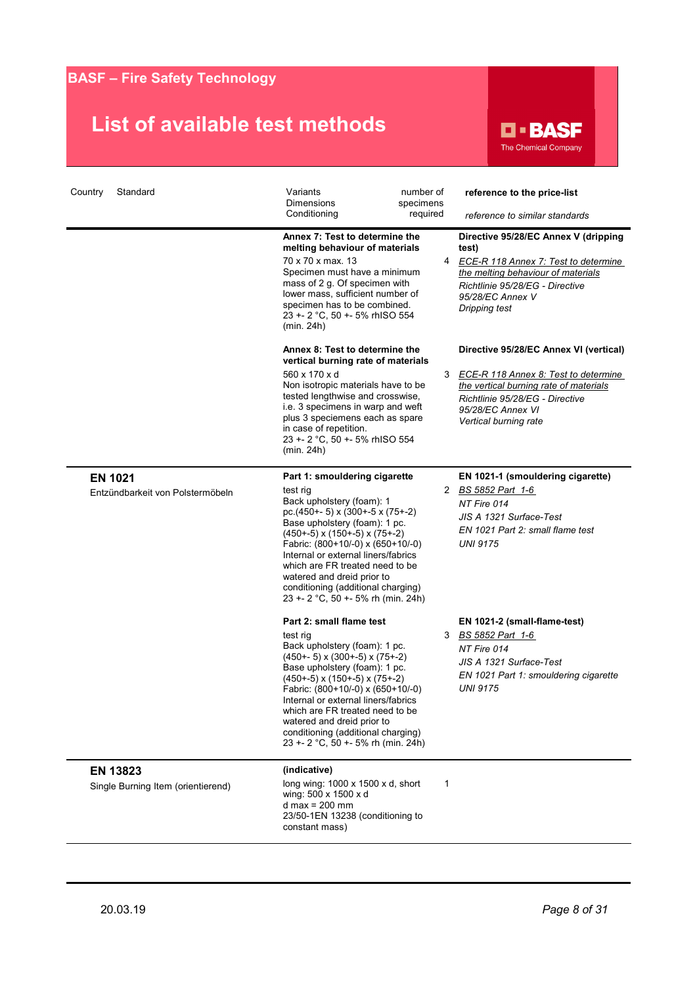

| Country<br>Standard                                | Variants<br>number of<br>Dimensions<br>specimens<br>Conditioning<br>required                                                                                                                                                                                                                                                                                                                                  |   | reference to the price-list<br>reference to similar standards                                                                                                                                                    |
|----------------------------------------------------|---------------------------------------------------------------------------------------------------------------------------------------------------------------------------------------------------------------------------------------------------------------------------------------------------------------------------------------------------------------------------------------------------------------|---|------------------------------------------------------------------------------------------------------------------------------------------------------------------------------------------------------------------|
|                                                    | Annex 7: Test to determine the<br>melting behaviour of materials<br>70 x 70 x max. 13<br>Specimen must have a minimum<br>mass of 2 g. Of specimen with<br>lower mass, sufficient number of<br>specimen has to be combined.<br>23 +- 2 °C, 50 +- 5% rhISO 554<br>(min. 24h)                                                                                                                                    | 4 | Directive 95/28/EC Annex V (dripping<br>test)<br>ECE-R 118 Annex 7: Test to determine<br>the melting behaviour of materials<br>Richtlinie 95/28/EG - Directive<br>95/28/EC Annex V<br>Dripping test              |
|                                                    | Annex 8: Test to determine the<br>vertical burning rate of materials<br>560 x 170 x d<br>Non isotropic materials have to be<br>tested lengthwise and crosswise,<br>i.e. 3 specimens in warp and weft<br>plus 3 speciemens each as spare<br>in case of repetition.<br>23 +- 2 °C, 50 +- 5% rhISO 554<br>(min. 24h)                                                                                             | 3 | Directive 95/28/EC Annex VI (vertical)<br><b>ECE-R 118 Annex 8: Test to determine</b><br>the vertical burning rate of materials<br>Richtlinie 95/28/EG - Directive<br>95/28/EC Annex VI<br>Vertical burning rate |
| <b>EN 1021</b><br>Entzündbarkeit von Polstermöbeln | Part 1: smouldering cigarette<br>test rig<br>Back upholstery (foam): 1<br>pc.(450+- 5) x (300+-5 x (75+-2)<br>Base upholstery (foam): 1 pc.<br>$(450+-5)$ x $(150+-5)$ x $(75+-2)$<br>Fabric: (800+10/-0) x (650+10/-0)<br>Internal or external liners/fabrics<br>which are FR treated need to be<br>watered and dreid prior to<br>conditioning (additional charging)<br>23 +- 2 °C, 50 +- 5% rh (min. 24h)   | 2 | EN 1021-1 (smouldering cigarette)<br>BS 5852 Part 1-6<br>NT Fire 014<br>JIS A 1321 Surface-Test<br>EN 1021 Part 2: small flame test<br><b>UNI 9175</b>                                                           |
|                                                    | Part 2: small flame test<br>test rig<br>Back upholstery (foam): 1 pc.<br>$(450+-5)$ x $(300+-5)$ x $(75+-2)$<br>Base upholstery (foam): 1 pc.<br>$(450+-5)$ x $(150+-5)$ x $(75+-2)$<br>Fabric: (800+10/-0) x (650+10/-0)<br>Internal or external liners/fabrics<br>which are FR treated need to be<br>watered and dreid prior to<br>conditioning (additional charging)<br>23 +- 2 °C, 50 +- 5% rh (min. 24h) | 3 | EN 1021-2 (small-flame-test)<br>BS 5852 Part 1-6<br>NT Fire 014<br>JIS A 1321 Surface-Test<br>EN 1021 Part 1: smouldering cigarette<br><b>UNI 9175</b>                                                           |
| EN 13823<br>Single Burning Item (orientierend)     | (indicative)<br>long wing: $1000 \times 1500 \times d$ , short<br>wing: 500 x 1500 x d<br>d max = $200$ mm<br>23/50-1EN 13238 (conditioning to<br>constant mass)                                                                                                                                                                                                                                              | 1 |                                                                                                                                                                                                                  |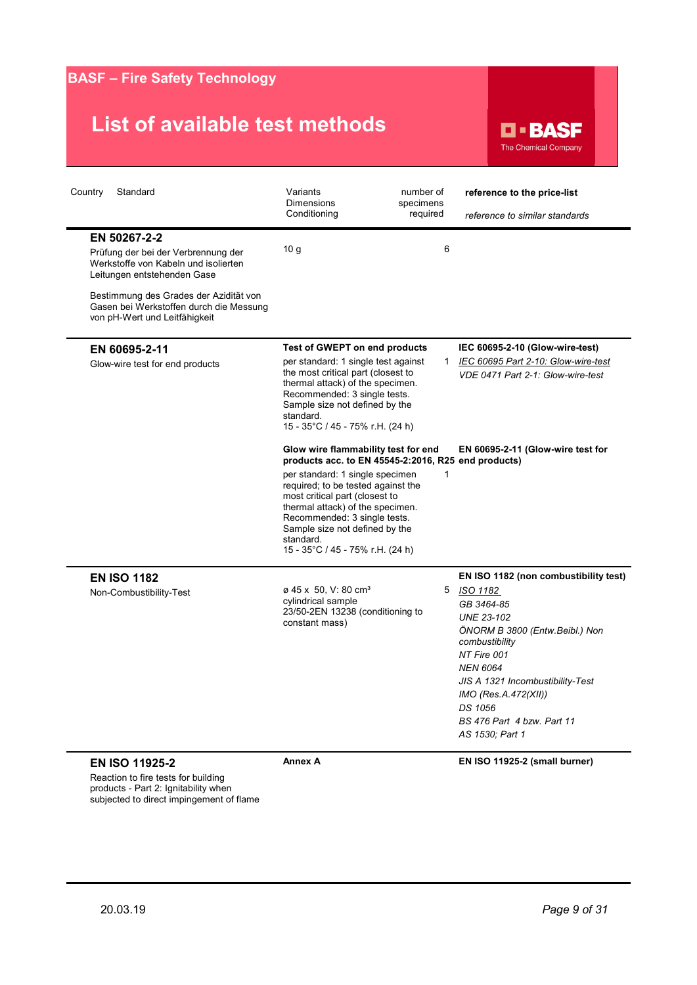# **List of available test methods**



| Country<br>Standard                                                                                                                                                                                                                              | Variants<br>Dimensions<br>Conditioning                                                                                                                                                                                                                                                                                                                       | number of<br>specimens<br>required | reference to the price-list<br>reference to similar standards                                                                                                                                                                                                                                      |
|--------------------------------------------------------------------------------------------------------------------------------------------------------------------------------------------------------------------------------------------------|--------------------------------------------------------------------------------------------------------------------------------------------------------------------------------------------------------------------------------------------------------------------------------------------------------------------------------------------------------------|------------------------------------|----------------------------------------------------------------------------------------------------------------------------------------------------------------------------------------------------------------------------------------------------------------------------------------------------|
| EN 50267-2-2<br>Prüfung der bei der Verbrennung der<br>Werkstoffe von Kabeln und isolierten<br>Leitungen entstehenden Gase<br>Bestimmung des Grades der Azidität von<br>Gasen bei Werkstoffen durch die Messung<br>von pH-Wert und Leitfähigkeit | 10 <sub>g</sub>                                                                                                                                                                                                                                                                                                                                              | 6                                  |                                                                                                                                                                                                                                                                                                    |
| EN 60695-2-11<br>Glow-wire test for end products                                                                                                                                                                                                 | Test of GWEPT on end products<br>per standard: 1 single test against<br>the most critical part (closest to<br>thermal attack) of the specimen.<br>Recommended: 3 single tests.<br>Sample size not defined by the<br>standard.<br>15 - 35°C / 45 - 75% r.H. (24 h)                                                                                            | $\mathbf{1}$                       | IEC 60695-2-10 (Glow-wire-test)<br>IEC 60695 Part 2-10: Glow-wire-test<br>VDE 0471 Part 2-1: Glow-wire-test                                                                                                                                                                                        |
|                                                                                                                                                                                                                                                  | Glow wire flammability test for end<br>products acc. to EN 45545-2:2016, R25 end products)<br>per standard: 1 single specimen<br>required; to be tested against the<br>most critical part (closest to<br>thermal attack) of the specimen.<br>Recommended: 3 single tests.<br>Sample size not defined by the<br>standard.<br>15 - 35°C / 45 - 75% r.H. (24 h) | 1                                  | EN 60695-2-11 (Glow-wire test for                                                                                                                                                                                                                                                                  |
| <b>EN ISO 1182</b><br>Non-Combustibility-Test                                                                                                                                                                                                    | ø 45 x 50, V: 80 cm <sup>3</sup><br>cylindrical sample<br>23/50-2EN 13238 (conditioning to<br>constant mass)                                                                                                                                                                                                                                                 | 5                                  | EN ISO 1182 (non combustibility test)<br>ISO 1182<br>GB 3464-85<br><b>UNE 23-102</b><br>ÖNORM B 3800 (Entw.Beibl.) Non<br>combustibility<br>NT Fire 001<br><b>NEN 6064</b><br>JIS A 1321 Incombustibility-Test<br>IMO (Res.A.472(XII))<br>DS 1056<br>BS 476 Part 4 bzw. Part 11<br>AS 1530; Part 1 |
| <b>EN ISO 11925-2</b><br>Reaction to fire tests for building                                                                                                                                                                                     | <b>Annex A</b>                                                                                                                                                                                                                                                                                                                                               |                                    | EN ISO 11925-2 (small burner)                                                                                                                                                                                                                                                                      |

subjected to direct impingement of flame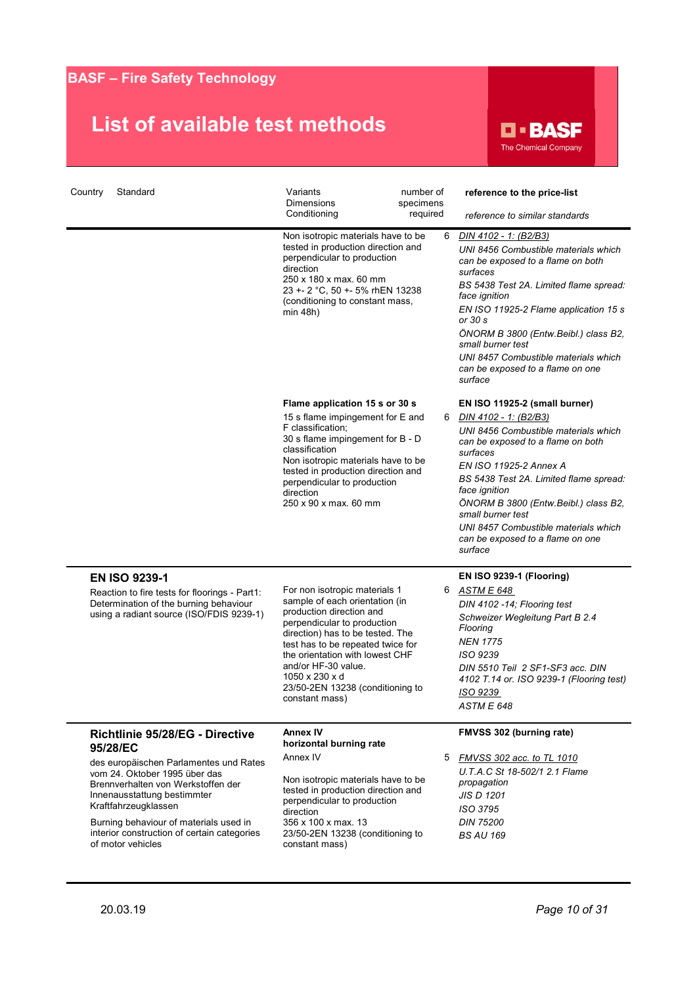

| Country<br>Standard                                                                                                                                                                                                                                                                                                               | Variants<br>Dimensions<br>Conditioning<br>Non isotropic materials have to be<br>tested in production direction and<br>perpendicular to production<br>direction<br>250 x 180 x max. 60 mm<br>23 +- 2 °C, 50 +- 5% rhEN 13238<br>(conditioning to constant mass,<br>min 48h)                                                            | number of<br>specimens<br>required<br>6 | reference to the price-list<br>reference to similar standards<br><u>DIN 4102 - 1: (B2/B3)</u><br>UNI 8456 Combustible materials which<br>can be exposed to a flame on both<br>surfaces<br>BS 5438 Test 2A. Limited flame spread:<br>face ignition<br>EN ISO 11925-2 Flame application 15 s<br>or 30 s<br>ÖNORM B 3800 (Entw.Beibl.) class B2,<br>small burner test<br>UNI 8457 Combustible materials which<br>can be exposed to a flame on one |
|-----------------------------------------------------------------------------------------------------------------------------------------------------------------------------------------------------------------------------------------------------------------------------------------------------------------------------------|---------------------------------------------------------------------------------------------------------------------------------------------------------------------------------------------------------------------------------------------------------------------------------------------------------------------------------------|-----------------------------------------|------------------------------------------------------------------------------------------------------------------------------------------------------------------------------------------------------------------------------------------------------------------------------------------------------------------------------------------------------------------------------------------------------------------------------------------------|
|                                                                                                                                                                                                                                                                                                                                   | Flame application 15 s or 30 s<br>15 s flame impingement for E and<br>F classification;<br>30 s flame impingement for B - D<br>classification<br>Non isotropic materials have to be<br>tested in production direction and<br>perpendicular to production<br>direction<br>250 x 90 x max. 60 mm                                        | 6                                       | surface<br>EN ISO 11925-2 (small burner)<br>DIN 4102 - 1: (B2/B3)<br>UNI 8456 Combustible materials which<br>can be exposed to a flame on both<br>surfaces<br>EN ISO 11925-2 Annex A<br>BS 5438 Test 2A. Limited flame spread:<br>face ignition<br>ÖNORM B 3800 (Entw.Beibl.) class B2,<br>small burner test<br>UNI 8457 Combustible materials which<br>can be exposed to a flame on one<br>surface                                            |
| <b>EN ISO 9239-1</b><br>Reaction to fire tests for floorings - Part1:<br>Determination of the burning behaviour<br>using a radiant source (ISO/FDIS 9239-1)                                                                                                                                                                       | For non isotropic materials 1<br>sample of each orientation (in<br>production direction and<br>perpendicular to production<br>direction) has to be tested. The<br>test has to be repeated twice for<br>the orientation with lowest CHF<br>and/or HF-30 value.<br>1050 x 230 x d<br>23/50-2EN 13238 (conditioning to<br>constant mass) | 6                                       | EN ISO 9239-1 (Flooring)<br>ASTM E 648<br>DIN 4102 -14; Flooring test<br>Schweizer Wegleitung Part B 2.4<br>Flooring<br><b>NEN 1775</b><br>ISO 9239<br>DIN 5510 Teil 2 SF1-SF3 acc. DIN<br>4102 T.14 or. ISO 9239-1 (Flooring test)<br>ISO 9239<br>ASTM E 648                                                                                                                                                                                  |
| Richtlinie 95/28/EG - Directive<br>95/28/EC<br>des europäischen Parlamentes und Rates<br>vom 24. Oktober 1995 über das<br>Brennverhalten von Werkstoffen der<br>Innenausstattung bestimmter<br>Kraftfahrzeugklassen<br>Burning behaviour of materials used in<br>interior construction of certain categories<br>of motor vehicles | <b>Annex IV</b><br>horizontal burning rate<br>Annex IV<br>Non isotropic materials have to be<br>tested in production direction and<br>perpendicular to production<br>direction<br>356 x 100 x max. 13<br>23/50-2EN 13238 (conditioning to<br>constant mass)                                                                           | 5                                       | FMVSS 302 (burning rate)<br>FMVSS 302 acc. to TL 1010<br>U.T.A.C St 18-502/1 2.1 Flame<br>propagation<br><b>JIS D 1201</b><br>ISO 3795<br><b>DIN 75200</b><br><b>BS AU 169</b>                                                                                                                                                                                                                                                                 |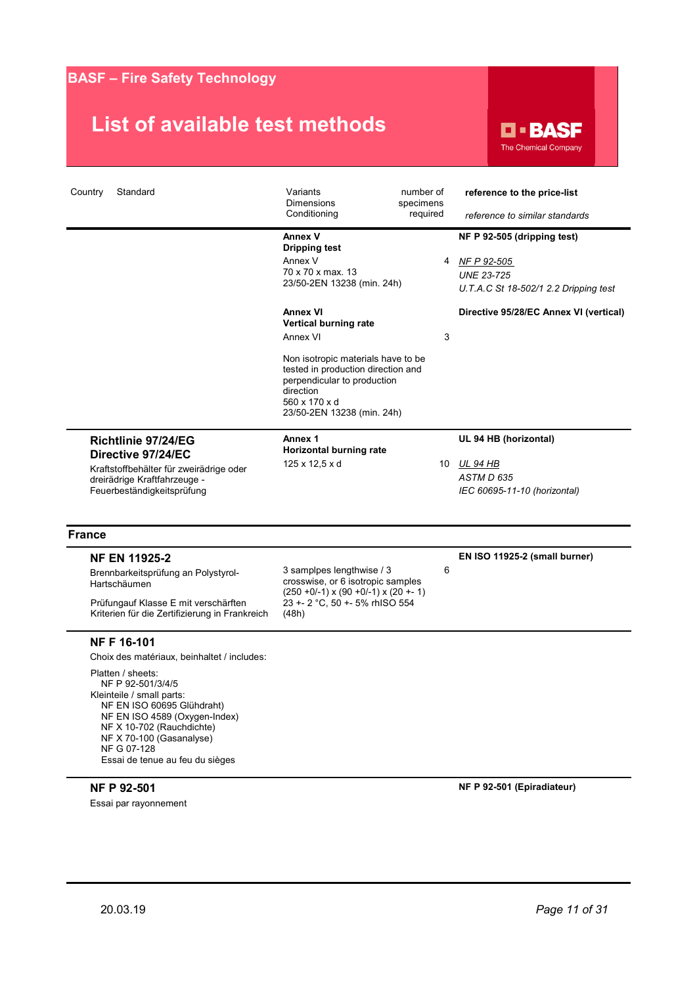### **List of available test methods**

**D-BASF** The Chemical Company

| Standard<br>Country                                                                                                                                                                                                                           | Variants<br><b>Dimensions</b><br>Conditioning                                                                                                                       | number of<br>specimens<br>required | reference to the price-list<br>reference to similar standards                                            |
|-----------------------------------------------------------------------------------------------------------------------------------------------------------------------------------------------------------------------------------------------|---------------------------------------------------------------------------------------------------------------------------------------------------------------------|------------------------------------|----------------------------------------------------------------------------------------------------------|
|                                                                                                                                                                                                                                               | Annex V<br><b>Dripping test</b><br>Annex V<br>70 x 70 x max, 13<br>23/50-2EN 13238 (min. 24h)                                                                       | 4                                  | NF P 92-505 (dripping test)<br>NF P 92-505<br><b>UNE 23-725</b><br>U.T.A.C St 18-502/1 2.2 Dripping test |
|                                                                                                                                                                                                                                               | <b>Annex VI</b><br>Vertical burning rate<br>Annex VI                                                                                                                | 3                                  | Directive 95/28/EC Annex VI (vertical)                                                                   |
|                                                                                                                                                                                                                                               | Non isotropic materials have to be<br>tested in production direction and<br>perpendicular to production<br>direction<br>560 x 170 x d<br>23/50-2EN 13238 (min. 24h) |                                    |                                                                                                          |
| Richtlinie 97/24/EG                                                                                                                                                                                                                           | Annex 1<br>Horizontal burning rate                                                                                                                                  |                                    | UL 94 HB (horizontal)                                                                                    |
| Directive 97/24/EC<br>Kraftstoffbehälter für zweirädrige oder<br>dreirädrige Kraftfahrzeuge -<br>Feuerbeständigkeitsprüfung                                                                                                                   | 125 x 12,5 x d                                                                                                                                                      |                                    | 10 UL 94 HB<br>ASTM D 635<br>IEC 60695-11-10 (horizontal)                                                |
| <b>France</b>                                                                                                                                                                                                                                 |                                                                                                                                                                     |                                    |                                                                                                          |
| <b>NF EN 11925-2</b>                                                                                                                                                                                                                          |                                                                                                                                                                     |                                    | EN ISO 11925-2 (small burner)                                                                            |
| Brennbarkeitsprüfung an Polystyrol-<br>Hartschäumen                                                                                                                                                                                           | 3 samplpes lengthwise / 3<br>crosswise, or 6 isotropic samples<br>$(250 + 0/-1)$ x $(90 + 0/-1)$ x $(20 + -1)$                                                      | 6                                  |                                                                                                          |
| Prüfungauf Klasse E mit verschärften<br>Kriterien für die Zertifizierung in Frankreich                                                                                                                                                        | 23 +- 2 °C, 50 +- 5% rhISO 554<br>(48h)                                                                                                                             |                                    |                                                                                                          |
| <b>NFF16-101</b>                                                                                                                                                                                                                              |                                                                                                                                                                     |                                    |                                                                                                          |
| Choix des matériaux, beinhaltet / includes:                                                                                                                                                                                                   |                                                                                                                                                                     |                                    |                                                                                                          |
| Platten / sheets:<br>NF P 92-501/3/4/5<br>Kleinteile / small parts:<br>NF EN ISO 60695 Glühdraht)<br>NF EN ISO 4589 (Oxygen-Index)<br>NF X 10-702 (Rauchdichte)<br>NF X 70-100 (Gasanalyse)<br>NF G 07-128<br>Essai de tenue au feu du sièges |                                                                                                                                                                     |                                    |                                                                                                          |
| NF P 92-501<br>Essai par rayonnement                                                                                                                                                                                                          |                                                                                                                                                                     |                                    | NF P 92-501 (Epiradiateur)                                                                               |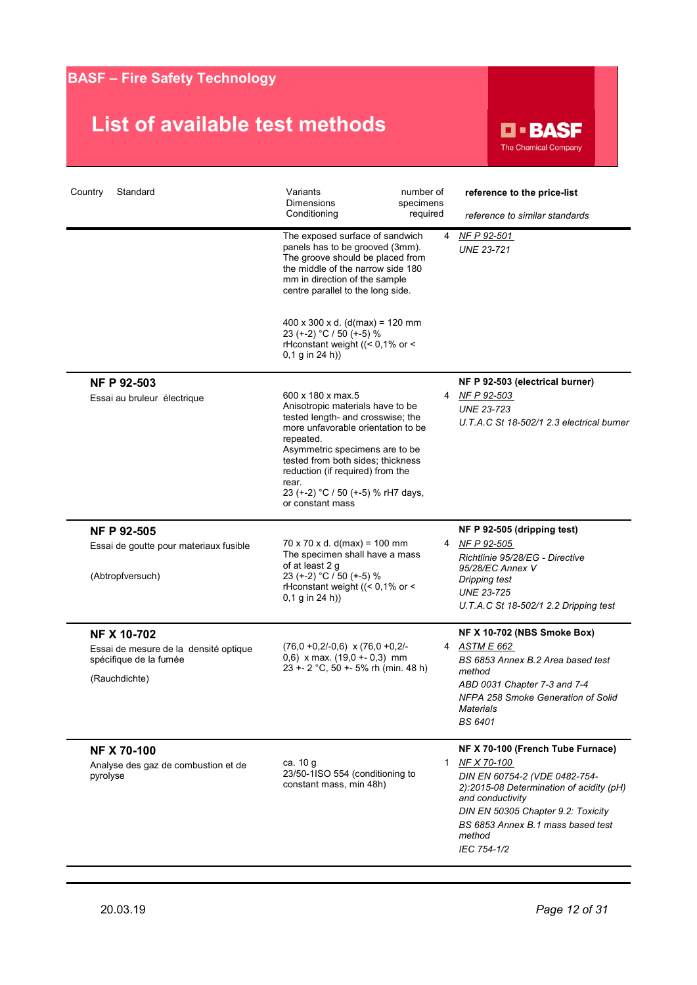### **List of available test methods**

**D-BASF** The Chemical Company

| Country<br>Standard                                                              | Variants<br><b>Dimensions</b>                                                                                                                                                                                                                                                                                               | number of<br>specimens | reference to the price-list                                                                                                                                                                                      |
|----------------------------------------------------------------------------------|-----------------------------------------------------------------------------------------------------------------------------------------------------------------------------------------------------------------------------------------------------------------------------------------------------------------------------|------------------------|------------------------------------------------------------------------------------------------------------------------------------------------------------------------------------------------------------------|
|                                                                                  | Conditioning                                                                                                                                                                                                                                                                                                                | required               | reference to similar standards                                                                                                                                                                                   |
|                                                                                  | The exposed surface of sandwich<br>panels has to be grooved (3mm).<br>The groove should be placed from<br>the middle of the narrow side 180<br>mm in direction of the sample<br>centre parallel to the long side.                                                                                                           | 4                      | NF P 92-501<br><b>UNE 23-721</b>                                                                                                                                                                                 |
|                                                                                  | $400 \times 300 \times d.$ (d(max) = 120 mm<br>23 (+-2) °C / 50 (+-5) %<br>rHconstant weight ((< 0,1% or <<br>$0,1$ g in 24 h))                                                                                                                                                                                             |                        |                                                                                                                                                                                                                  |
| <b>NF P 92-503</b>                                                               |                                                                                                                                                                                                                                                                                                                             |                        | NF P 92-503 (electrical burner)                                                                                                                                                                                  |
| Essai au bruleur électrique                                                      | 600 x 180 x max.5<br>Anisotropic materials have to be<br>tested length- and crosswise; the<br>more unfavorable orientation to be<br>repeated.<br>Asymmetric specimens are to be<br>tested from both sides: thickness<br>reduction (if required) from the<br>rear.<br>23 (+-2) °C / 50 (+-5) % rH7 days,<br>or constant mass |                        | 4 NF P 92-503<br><b>UNE 23-723</b><br>U.T.A.C St 18-502/1 2.3 electrical burner                                                                                                                                  |
| <b>NF P 92-505</b>                                                               |                                                                                                                                                                                                                                                                                                                             |                        | NF P 92-505 (dripping test)                                                                                                                                                                                      |
| Essai de goutte pour materiaux fusible<br>(Abtropfversuch)                       | $70 \times 70 \times d$ . d(max) = 100 mm<br>The specimen shall have a mass<br>of at least 2 g<br>23 (+-2) °C / 50 (+-5) %<br>rHconstant weight ((< 0,1% or <<br>$0,1$ g in 24 h))                                                                                                                                          |                        | 4 NF P 92-505<br>Richtlinie 95/28/EG - Directive<br>95/28/EC Annex V<br>Dripping test<br><b>UNE 23-725</b><br>U.T.A.C St 18-502/1 2.2 Dripping test                                                              |
| <b>NF X 10-702</b>                                                               |                                                                                                                                                                                                                                                                                                                             |                        | NF X 10-702 (NBS Smoke Box)                                                                                                                                                                                      |
| Essai de mesure de la densité optique<br>spécifique de la fumée<br>(Rauchdichte) | $(76,0 +0,2/-0,6)$ x $(76,0 +0,2/-$<br>$0,6$ ) x max. (19,0 +- 0,3) mm<br>23 +- 2 °C, 50 +- 5% rh (min. 48 h)                                                                                                                                                                                                               |                        | 4 ASTM E 662<br>BS 6853 Annex B.2 Area based test<br>method<br>ABD 0031 Chapter 7-3 and 7-4<br>NFPA 258 Smoke Generation of Solid<br><b>Materials</b><br><b>BS 6401</b>                                          |
| <b>NF X 70-100</b>                                                               |                                                                                                                                                                                                                                                                                                                             |                        | NF X 70-100 (French Tube Furnace)                                                                                                                                                                                |
| Analyse des gaz de combustion et de<br>pyrolyse                                  | ca. 10 g<br>23/50-1ISO 554 (conditioning to<br>constant mass, min 48h)                                                                                                                                                                                                                                                      | 1                      | NF X 70-100<br>DIN EN 60754-2 (VDE 0482-754-<br>2):2015-08 Determination of acidity (pH)<br>and conductivity<br>DIN EN 50305 Chapter 9.2: Toxicity<br>BS 6853 Annex B.1 mass based test<br>method<br>IEC 754-1/2 |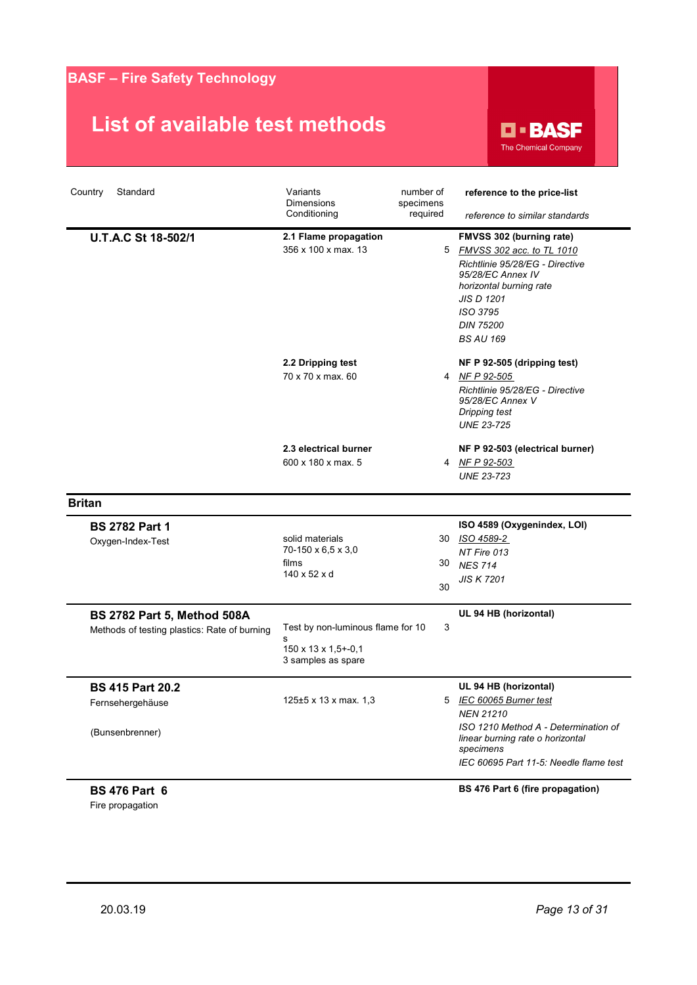### **List of available test methods**

**D-BASF** The Chemical Company

| Country<br>Standard                                                         | Variants<br><b>Dimensions</b>                                                       | number of<br>specimens | reference to the price-list                                                                                                                                                                                         |
|-----------------------------------------------------------------------------|-------------------------------------------------------------------------------------|------------------------|---------------------------------------------------------------------------------------------------------------------------------------------------------------------------------------------------------------------|
|                                                                             | Conditioning                                                                        | required               | reference to similar standards                                                                                                                                                                                      |
| U.T.A.C St 18-502/1                                                         | 2.1 Flame propagation<br>356 x 100 x max. 13                                        |                        | FMVSS 302 (burning rate)<br>5 FMVSS 302 acc. to TL 1010<br>Richtlinie 95/28/EG - Directive<br>95/28/EC Annex IV<br>horizontal burning rate<br><b>JIS D 1201</b><br>ISO 3795<br><b>DIN 75200</b><br><b>BS AU 169</b> |
|                                                                             | 2.2 Dripping test<br>70 x 70 x max, 60                                              |                        | NF P 92-505 (dripping test)<br>4 NFP 92-505<br>Richtlinie 95/28/EG - Directive<br>95/28/EC Annex V<br>Dripping test<br><b>UNE 23-725</b>                                                                            |
|                                                                             | 2.3 electrical burner<br>600 x 180 x max. 5                                         |                        | NF P 92-503 (electrical burner)<br>4 NF P 92-503<br><b>UNE 23-723</b>                                                                                                                                               |
| <b>Britan</b>                                                               |                                                                                     |                        |                                                                                                                                                                                                                     |
| <b>BS 2782 Part 1</b><br>Oxygen-Index-Test                                  | solid materials<br>70-150 x 6,5 x 3,0<br>films<br>140 x 52 x d                      | 30<br>30               | ISO 4589 (Oxygenindex, LOI)<br>30 ISO 4589-2<br>NT Fire 013<br><b>NES 714</b><br><b>JIS K 7201</b>                                                                                                                  |
| BS 2782 Part 5, Method 508A<br>Methods of testing plastics: Rate of burning | Test by non-luminous flame for 10<br>s<br>150 x 13 x 1,5+-0,1<br>3 samples as spare | 3                      | UL 94 HB (horizontal)                                                                                                                                                                                               |
| <b>BS 415 Part 20.2</b><br>Fernsehergehäuse<br>(Bunsenbrenner)              | 125±5 x 13 x max. 1,3                                                               |                        | UL 94 HB (horizontal)<br>5 IEC 60065 Burner test<br><b>NEN 21210</b><br>ISO 1210 Method A - Determination of<br>linear burning rate o horizontal<br>specimens<br>IEC 60695 Part 11-5: Needle flame test             |

**BS 476 Part 6** Fire propagation

**BS 476 Part 6 (fire propagation)**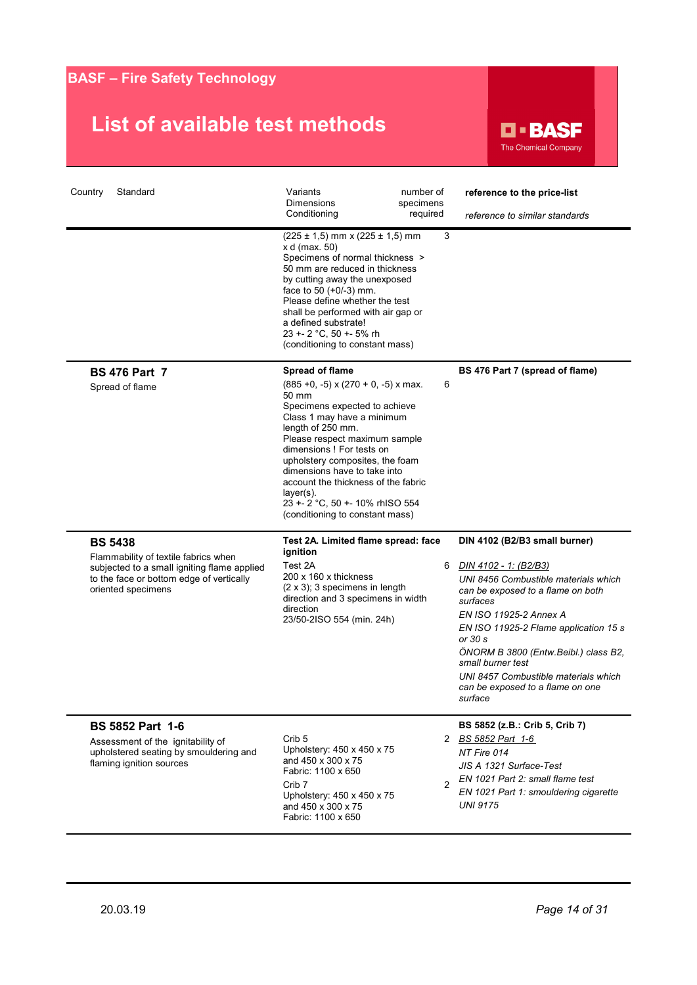

| Standard<br>Country                                                                                                                                                     | Variants<br><b>Dimensions</b><br>Conditioning<br>$(225 \pm 1, 5)$ mm x $(225 \pm 1, 5)$ mm<br>x d (max. 50)<br>Specimens of normal thickness ><br>50 mm are reduced in thickness<br>by cutting away the unexposed<br>face to 50 (+0/-3) mm.<br>Please define whether the test<br>shall be performed with air gap or<br>a defined substrate!<br>23 +- 2 °C, 50 +- 5% rh<br>(conditioning to constant mass)                                   | number of<br>specimens<br>required<br>3 | reference to the price-list<br>reference to similar standards                                                                                                                                                                                                                                                                                                                     |
|-------------------------------------------------------------------------------------------------------------------------------------------------------------------------|---------------------------------------------------------------------------------------------------------------------------------------------------------------------------------------------------------------------------------------------------------------------------------------------------------------------------------------------------------------------------------------------------------------------------------------------|-----------------------------------------|-----------------------------------------------------------------------------------------------------------------------------------------------------------------------------------------------------------------------------------------------------------------------------------------------------------------------------------------------------------------------------------|
| <b>BS 476 Part 7</b><br>Spread of flame                                                                                                                                 | <b>Spread of flame</b><br>$(885 +0, -5) \times (270 + 0, -5) \times \text{max.}$<br>50 mm<br>Specimens expected to achieve<br>Class 1 may have a minimum<br>length of 250 mm.<br>Please respect maximum sample<br>dimensions ! For tests on<br>upholstery composites, the foam<br>dimensions have to take into<br>account the thickness of the fabric<br>$layer(s)$ .<br>23 +- 2 °C, 50 +- 10% rhISO 554<br>(conditioning to constant mass) | 6                                       | BS 476 Part 7 (spread of flame)                                                                                                                                                                                                                                                                                                                                                   |
| <b>BS 5438</b><br>Flammability of textile fabrics when<br>subjected to a small igniting flame applied<br>to the face or bottom edge of vertically<br>oriented specimens | Test 2A. Limited flame spread: face<br>ignition<br>Test 2A<br>200 x 160 x thickness<br>$(2 \times 3)$ ; 3 specimens in length<br>direction and 3 specimens in width<br>direction<br>23/50-2ISO 554 (min. 24h)                                                                                                                                                                                                                               | 6                                       | DIN 4102 (B2/B3 small burner)<br>DIN 4102 - 1: (B2/B3)<br>UNI 8456 Combustible materials which<br>can be exposed to a flame on both<br>surfaces<br>EN ISO 11925-2 Annex A<br>EN ISO 11925-2 Flame application 15 s<br>or 30 s<br>ÖNORM B 3800 (Entw.Beibl.) class B2,<br>small burner test<br>UNI 8457 Combustible materials which<br>can be exposed to a flame on one<br>surtace |
| <b>BS 5852 Part 1-6</b><br>Assessment of the ignitability of<br>upholstered seating by smouldering and<br>flaming ignition sources                                      | Crib <sub>5</sub><br>Upholstery: 450 x 450 x 75<br>and 450 x 300 x 75<br>Fabric: 1100 x 650<br>Crib <sub>7</sub><br>Upholstery: 450 x 450 x 75<br>and 450 x 300 x 75<br>Fabric: 1100 x 650                                                                                                                                                                                                                                                  | $\mathfrak{p}$                          | BS 5852 (z.B.: Crib 5, Crib 7)<br>2 BS 5852 Part 1-6<br>NT Fire 014<br>JIS A 1321 Surface-Test<br>EN 1021 Part 2: small flame test<br>EN 1021 Part 1: smouldering cigarette<br><b>UNI 9175</b>                                                                                                                                                                                    |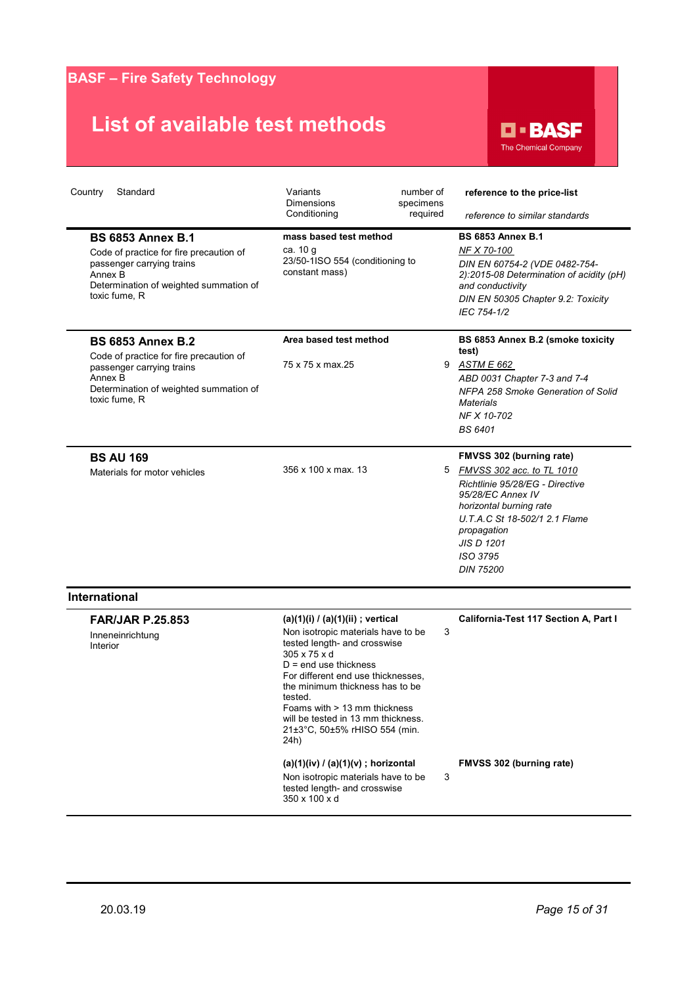

| Country<br>Standard                                                                                                                                                    | Variants<br><b>Dimensions</b><br>Conditioning                                                                                                                                                                                                                                                                                                         | number of<br>specimens<br>required | reference to the price-list<br>reference to similar standards                                                                                                                                                                                 |
|------------------------------------------------------------------------------------------------------------------------------------------------------------------------|-------------------------------------------------------------------------------------------------------------------------------------------------------------------------------------------------------------------------------------------------------------------------------------------------------------------------------------------------------|------------------------------------|-----------------------------------------------------------------------------------------------------------------------------------------------------------------------------------------------------------------------------------------------|
| <b>BS 6853 Annex B.1</b><br>Code of practice for fire precaution of<br>passenger carrying trains<br>Annex B<br>Determination of weighted summation of<br>toxic fume, R | mass based test method<br>ca. 10 g<br>23/50-1ISO 554 (conditioning to<br>constant mass)                                                                                                                                                                                                                                                               |                                    | <b>BS 6853 Annex B.1</b><br>NF X 70-100<br>DIN EN 60754-2 (VDE 0482-754-<br>2):2015-08 Determination of acidity (pH)<br>and conductivity<br>DIN EN 50305 Chapter 9.2: Toxicity<br>IEC 754-1/2                                                 |
| <b>BS 6853 Annex B.2</b><br>Code of practice for fire precaution of<br>passenger carrying trains<br>Annex B<br>Determination of weighted summation of<br>toxic fume, R | Area based test method<br>75 x 75 x max.25                                                                                                                                                                                                                                                                                                            | 9                                  | BS 6853 Annex B.2 (smoke toxicity<br>test)<br>ASTM E 662<br>ABD 0031 Chapter 7-3 and 7-4<br>NFPA 258 Smoke Generation of Solid<br><b>Materials</b><br>NF X 10-702<br><b>BS 6401</b>                                                           |
| <b>BS AU 169</b><br>Materials for motor vehicles                                                                                                                       | 356 x 100 x max, 13                                                                                                                                                                                                                                                                                                                                   | 5                                  | FMVSS 302 (burning rate)<br>FMVSS 302 acc. to TL 1010<br>Richtlinie 95/28/EG - Directive<br>95/28/EC Annex IV<br>horizontal burning rate<br>U.T.A.C St 18-502/1 2.1 Flame<br>propagation<br><b>JIS D 1201</b><br>ISO 3795<br><b>DIN 75200</b> |
| <b>International</b><br><b>FAR/JAR P.25.853</b><br>Inneneinrichtung<br>Interior                                                                                        | (a)(1)(i) / (a)(1)(ii) ; vertical<br>Non isotropic materials have to be<br>tested length- and crosswise<br>305 x 75 x d<br>$D = end$ use thickness<br>For different end use thicknesses.<br>the minimum thickness has to be<br>tested.<br>Foams with > 13 mm thickness<br>will be tested in 13 mm thickness.<br>21±3°C, 50±5% rHISO 554 (min.<br>24h) | 3                                  | California-Test 117 Section A, Part I                                                                                                                                                                                                         |
|                                                                                                                                                                        | $(a)(1)(iv) / (a)(1)(v)$ ; horizontal<br>Non isotropic materials have to be<br>tested length- and crosswise<br>350 x 100 x d                                                                                                                                                                                                                          | 3                                  | FMVSS 302 (burning rate)                                                                                                                                                                                                                      |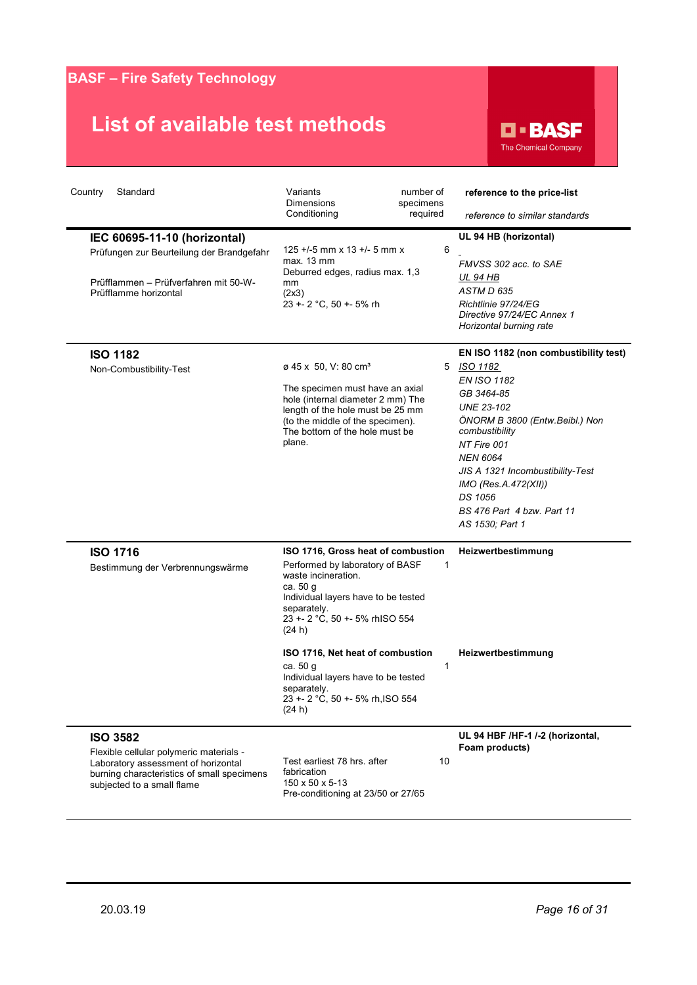

| Country<br>Standard<br>IEC 60695-11-10 (horizontal)<br>Prüfungen zur Beurteilung der Brandgefahr<br>Prüfflammen - Prüfverfahren mit 50-W-<br>Prüfflamme horizontal            | Variants<br>Dimensions<br>Conditioning<br>$125 + (-5)$ mm x 13 +/- 5 mm x<br>max. 13 mm<br>Deburred edges, radius max. 1,3<br>mm<br>(2x3)<br>23 +- 2 °C, 50 +- 5% rh                                                                                                                                                                                           | number of<br>specimens<br>required<br>6 | reference to the price-list<br>reference to similar standards<br>UL 94 HB (horizontal)<br>FMVSS 302 acc. to SAE<br>UL 94 HB<br>ASTM D 635<br>Richtlinie 97/24/EG<br>Directive 97/24/EC Annex 1<br>Horizontal burning rate                                                                                         |
|-------------------------------------------------------------------------------------------------------------------------------------------------------------------------------|----------------------------------------------------------------------------------------------------------------------------------------------------------------------------------------------------------------------------------------------------------------------------------------------------------------------------------------------------------------|-----------------------------------------|-------------------------------------------------------------------------------------------------------------------------------------------------------------------------------------------------------------------------------------------------------------------------------------------------------------------|
| <b>ISO 1182</b><br>Non-Combustibility-Test                                                                                                                                    | ø 45 x 50, V: 80 cm <sup>3</sup><br>The specimen must have an axial<br>hole (internal diameter 2 mm) The<br>length of the hole must be 25 mm<br>(to the middle of the specimen).<br>The bottom of the hole must be<br>plane.                                                                                                                                   | 5                                       | EN ISO 1182 (non combustibility test)<br>ISO 1182<br>EN ISO 1182<br>GB 3464-85<br><b>UNE 23-102</b><br>ÖNORM B 3800 (Entw.Beibl.) Non<br>combustibility<br>NT Fire 001<br><b>NEN 6064</b><br>JIS A 1321 Incombustibility-Test<br>IMO (Res.A.472(XII))<br>DS 1056<br>BS 476 Part 4 bzw. Part 11<br>AS 1530; Part 1 |
| <b>ISO 1716</b><br>Bestimmung der Verbrennungswärme                                                                                                                           | ISO 1716, Gross heat of combustion<br>Performed by laboratory of BASF<br>waste incineration.<br>ca. 50 g<br>Individual layers have to be tested<br>separately.<br>23 +- 2 °C, 50 +- 5% rhISO 554<br>(24 h)<br>ISO 1716, Net heat of combustion<br>ca. 50 g<br>Individual layers have to be tested<br>separately.<br>23 +- 2 °C, 50 +- 5% rh, ISO 554<br>(24 h) | 1<br>1                                  | Heizwertbestimmung<br>Heizwertbestimmung                                                                                                                                                                                                                                                                          |
| <b>ISO 3582</b><br>Flexible cellular polymeric materials -<br>Laboratory assessment of horizontal<br>burning characteristics of small specimens<br>subjected to a small flame | Test earliest 78 hrs. after<br>fabrication<br>150 x 50 x 5-13<br>Pre-conditioning at 23/50 or 27/65                                                                                                                                                                                                                                                            | 10                                      | UL 94 HBF /HF-1 /-2 (horizontal,<br>Foam products)                                                                                                                                                                                                                                                                |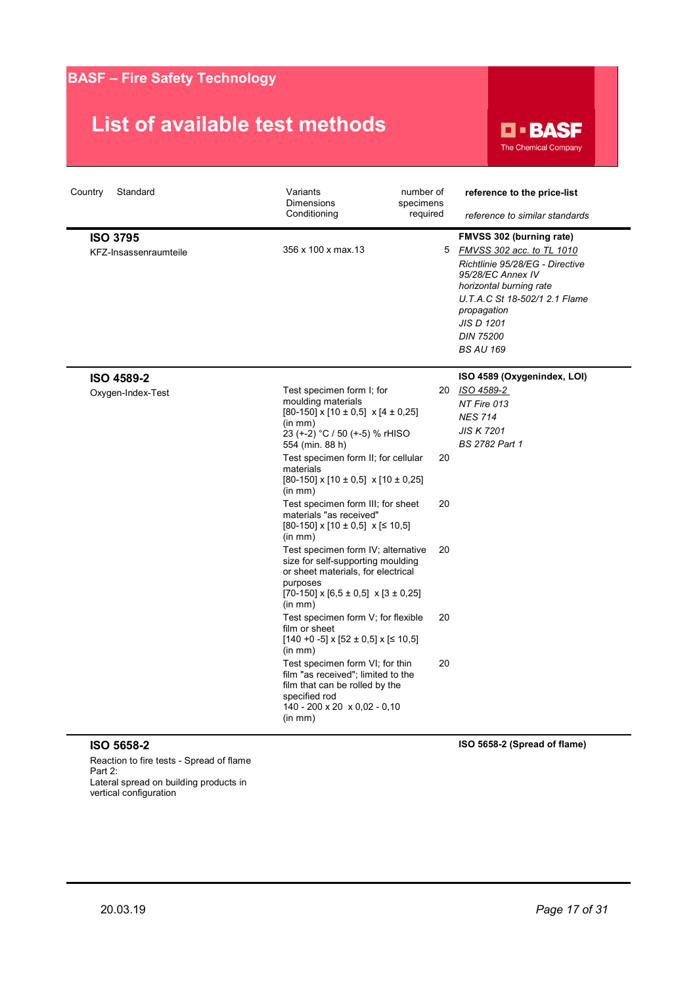### **List of available test methods**



| Country<br>Standard                      | Variants<br><b>Dimensions</b><br>Conditioning                                                                                                                                                                                                                                                                                                                                                                                                                                                                                                                                                                                                                                                                                                                                                                                          | number of<br>specimens<br>required | reference to the price-list<br>reference to similar standards                                                                                                                                                                                           |
|------------------------------------------|----------------------------------------------------------------------------------------------------------------------------------------------------------------------------------------------------------------------------------------------------------------------------------------------------------------------------------------------------------------------------------------------------------------------------------------------------------------------------------------------------------------------------------------------------------------------------------------------------------------------------------------------------------------------------------------------------------------------------------------------------------------------------------------------------------------------------------------|------------------------------------|---------------------------------------------------------------------------------------------------------------------------------------------------------------------------------------------------------------------------------------------------------|
| <b>ISO 3795</b><br>KFZ-Insassenraumteile | 356 x 100 x max.13                                                                                                                                                                                                                                                                                                                                                                                                                                                                                                                                                                                                                                                                                                                                                                                                                     |                                    | FMVSS 302 (burning rate)<br>5 FMVSS 302 acc. to TL 1010<br>Richtlinie 95/28/EG - Directive<br>95/28/EC Annex IV<br>horizontal burning rate<br>U.T.A.C St 18-502/1 2.1 Flame<br>propagation<br><b>JIS D 1201</b><br><b>DIN 75200</b><br><b>BS AU 169</b> |
| <b>ISO 4589-2</b><br>Oxygen-Index-Test   | Test specimen form I; for<br>moulding materials<br>$[80-150]$ x $[10 \pm 0.5]$ x $[4 \pm 0.25]$<br>(in mm)<br>23 (+-2) °C / 50 (+-5) % rHISO<br>554 (min. 88 h)<br>Test specimen form II; for cellular<br>materials<br>$[80-150]$ x $[10 \pm 0.5]$ x $[10 \pm 0.25]$<br>(in mm)<br>Test specimen form III; for sheet<br>materials "as received"<br>$[80-150]$ x $[10 \pm 0.5]$ x $[ \leq 10.5]$<br>(in mm)<br>Test specimen form IV; alternative<br>size for self-supporting moulding<br>or sheet materials, for electrical<br>purposes<br>$[70-150] \times [6,5 \pm 0,5] \times [3 \pm 0,25]$<br>(in mm)<br>Test specimen form V; for flexible<br>film or sheet<br>$[140 + 0 -5]$ x $[52 \pm 0.5]$ x $[5$ 10.5]<br>(in mm)<br>Test specimen form VI; for thin<br>film "as received"; limited to the<br>film that can be rolled by the | 20<br>20<br>20<br>20<br>20<br>20   | ISO 4589 (Oxygenindex, LOI)<br>ISO 4589-2<br>NT Fire 013<br><b>NES 714</b><br><b>JIS K 7201</b><br><b>BS 2782 Part 1</b>                                                                                                                                |

#### **ISO 5658-2**

Reaction to fire tests - Spread of flame Part 2: Lateral spread on building products in vertical configuration

**ISO 5658-2 (Spread of flame)**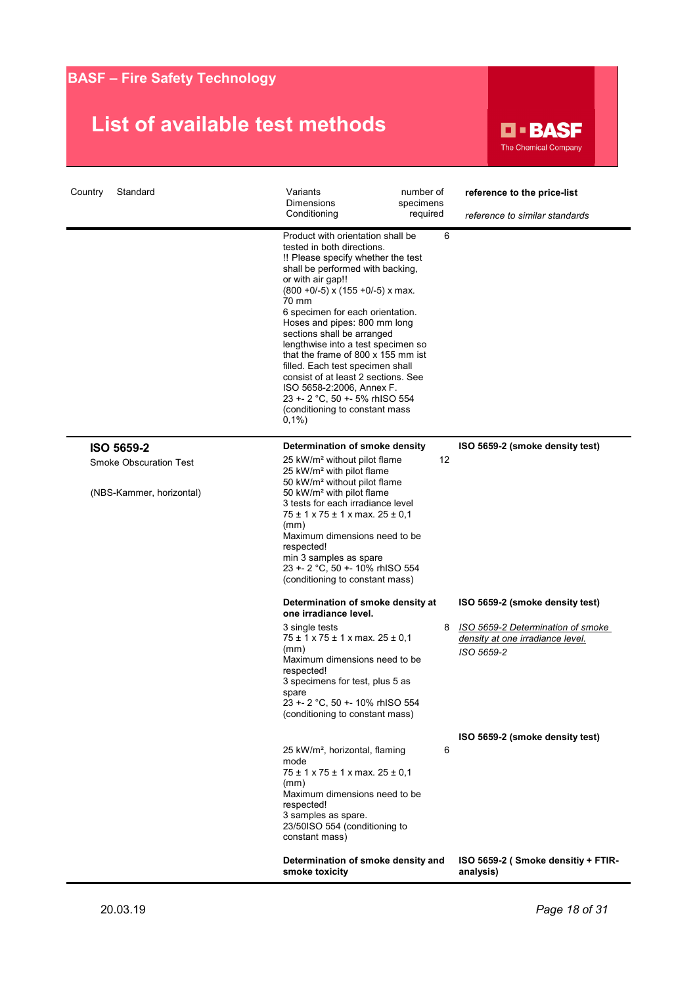

| Country<br>Standard           | Variants<br>number of<br><b>Dimensions</b><br>specimens<br>Conditioning<br>required                                                                                                                                                                                                                                                                                                                                                                                                                                                                                                         | reference to the price-list<br>reference to similar standards                       |
|-------------------------------|---------------------------------------------------------------------------------------------------------------------------------------------------------------------------------------------------------------------------------------------------------------------------------------------------------------------------------------------------------------------------------------------------------------------------------------------------------------------------------------------------------------------------------------------------------------------------------------------|-------------------------------------------------------------------------------------|
|                               | Product with orientation shall be<br>6<br>tested in both directions.<br>!! Please specify whether the test<br>shall be performed with backing,<br>or with air gap!!<br>$(800 + 0/-5)$ x $(155 + 0/-5)$ x max.<br>70 mm<br>6 specimen for each orientation.<br>Hoses and pipes: 800 mm long<br>sections shall be arranged<br>lengthwise into a test specimen so<br>that the frame of 800 x 155 mm ist<br>filled. Each test specimen shall<br>consist of at least 2 sections. See<br>ISO 5658-2:2006, Annex F.<br>23 +- 2 °C, 50 +- 5% rhISO 554<br>(conditioning to constant mass<br>$0,1\%$ |                                                                                     |
| ISO 5659-2                    | Determination of smoke density                                                                                                                                                                                                                                                                                                                                                                                                                                                                                                                                                              | ISO 5659-2 (smoke density test)                                                     |
| <b>Smoke Obscuration Test</b> | 25 kW/m <sup>2</sup> without pilot flame<br>12<br>25 kW/m <sup>2</sup> with pilot flame                                                                                                                                                                                                                                                                                                                                                                                                                                                                                                     |                                                                                     |
| (NBS-Kammer, horizontal)      | 50 kW/m <sup>2</sup> without pilot flame<br>50 kW/m <sup>2</sup> with pilot flame<br>3 tests for each irradiance level<br>$75 \pm 1 \times 75 \pm 1 \times$ max. $25 \pm 0.1$<br>(mm)<br>Maximum dimensions need to be<br>respected!<br>min 3 samples as spare<br>23 +- 2 °C, 50 +- 10% rhISO 554<br>(conditioning to constant mass)                                                                                                                                                                                                                                                        |                                                                                     |
|                               | Determination of smoke density at<br>one irradiance level.                                                                                                                                                                                                                                                                                                                                                                                                                                                                                                                                  | ISO 5659-2 (smoke density test)                                                     |
|                               | 8<br>3 single tests<br>75 ± 1 x 75 ± 1 x max. 25 ± 0,1<br>(mm)<br>Maximum dimensions need to be<br>respected!<br>3 specimens for test, plus 5 as<br>spare<br>23 +- 2 °C, 50 +- 10% rhISO 554<br>(conditioning to constant mass)                                                                                                                                                                                                                                                                                                                                                             | ISO 5659-2 Determination of smoke<br>density at one irradiance level.<br>ISO 5659-2 |
|                               |                                                                                                                                                                                                                                                                                                                                                                                                                                                                                                                                                                                             | ISO 5659-2 (smoke density test)                                                     |
|                               | 25 kW/m <sup>2</sup> , horizontal, flaming<br>6<br>mode<br>$75 \pm 1 \times 75 \pm 1 \times \text{max. } 25 \pm 0.1$<br>(mm)<br>Maximum dimensions need to be<br>respected!<br>3 samples as spare.<br>23/50ISO 554 (conditioning to<br>constant mass)                                                                                                                                                                                                                                                                                                                                       |                                                                                     |
|                               | Determination of smoke density and<br>smoke toxicity                                                                                                                                                                                                                                                                                                                                                                                                                                                                                                                                        | ISO 5659-2 (Smoke densitiy + FTIR-<br>analysis)                                     |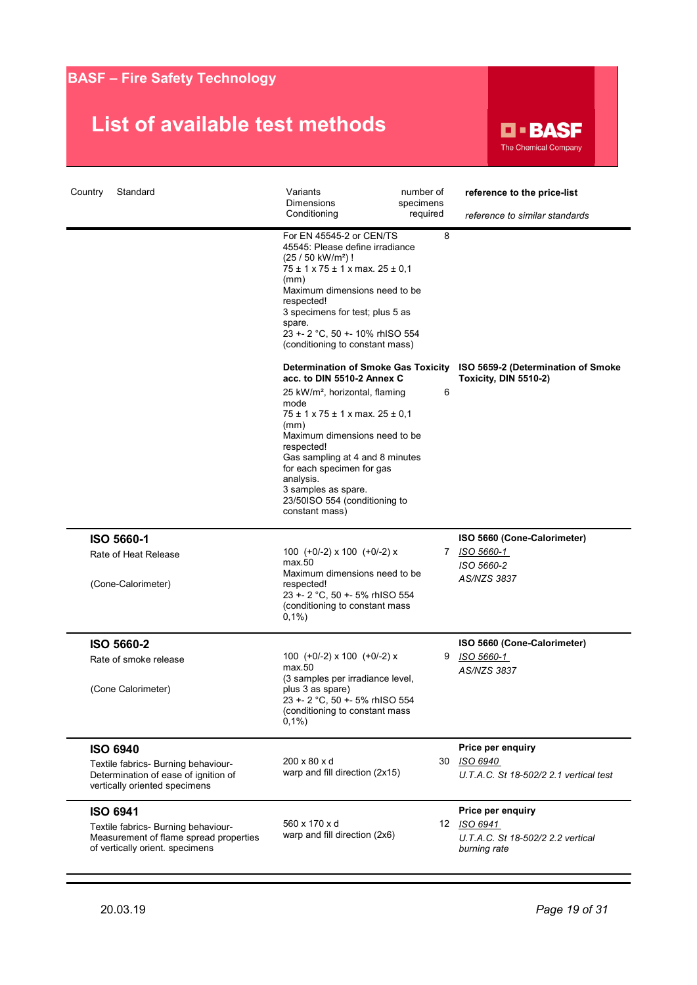

| Standard<br>Country                                                                                                                 | Variants<br><b>Dimensions</b><br>Conditioning                                                                                                                                                                                                                                                                                                                                                       | number of<br>specimens<br>required | reference to the price-list<br>reference to similar standards                      |
|-------------------------------------------------------------------------------------------------------------------------------------|-----------------------------------------------------------------------------------------------------------------------------------------------------------------------------------------------------------------------------------------------------------------------------------------------------------------------------------------------------------------------------------------------------|------------------------------------|------------------------------------------------------------------------------------|
|                                                                                                                                     | For EN 45545-2 or CEN/TS<br>45545: Please define irradiance<br>(25 / 50 kW/m <sup>2</sup> )!<br>$75 \pm 1 \times 75 \pm 1 \times \text{max}$ . 25 ± 0,1<br>(mm)<br>Maximum dimensions need to be<br>respected!<br>3 specimens for test; plus 5 as<br>spare.<br>23 +- 2 °C, 50 +- 10% rhISO 554<br>(conditioning to constant mass)                                                                   | 8                                  |                                                                                    |
|                                                                                                                                     | <b>Determination of Smoke Gas Toxicity</b><br>acc. to DIN 5510-2 Annex C<br>25 kW/m <sup>2</sup> , horizontal, flaming<br>mode<br>$75 \pm 1 \times 75 \pm 1 \times$ max. $25 \pm 0.1$<br>(mm)<br>Maximum dimensions need to be<br>respected!<br>Gas sampling at 4 and 8 minutes<br>for each specimen for gas<br>analysis.<br>3 samples as spare.<br>23/50ISO 554 (conditioning to<br>constant mass) | 6                                  | ISO 5659-2 (Determination of Smoke<br>Toxicity, DIN 5510-2)                        |
| ISO 5660-1<br>Rate of Heat Release<br>(Cone-Calorimeter)                                                                            | 100 $(+0/-2)$ x 100 $(+0/-2)$ x<br>max.50<br>Maximum dimensions need to be<br>respected!<br>23 +- 2 °C, 50 +- 5% rhISO 554<br>(conditioning to constant mass<br>$0,1\%$                                                                                                                                                                                                                             |                                    | ISO 5660 (Cone-Calorimeter)<br>7 ISO 5660-1<br>ISO 5660-2<br>AS/NZS 3837           |
| ISO 5660-2<br>Rate of smoke release<br>(Cone Calorimeter)                                                                           | 100 $(+0/-2)$ x 100 $(+0/-2)$ x<br>max.50<br>(3 samples per irradiance level,<br>plus 3 as spare)<br>23 +- 2 °C, 50 +- 5% rhISO 554<br>(conditioning to constant mass<br>$0,1\%$                                                                                                                                                                                                                    |                                    | ISO 5660 (Cone-Calorimeter)<br>9 ISO 5660-1<br>AS/NZS 3837                         |
| <b>ISO 6940</b><br>Textile fabrics- Burning behaviour-<br>Determination of ease of ignition of<br>vertically oriented specimens     | 200 x 80 x d<br>warp and fill direction (2x15)                                                                                                                                                                                                                                                                                                                                                      | 30                                 | Price per enquiry<br>ISO 6940<br>U.T.A.C. St 18-502/2 2.1 vertical test            |
| <b>ISO 6941</b><br>Textile fabrics- Burning behaviour-<br>Measurement of flame spread properties<br>of vertically orient. specimens | 560 x 170 x d<br>warp and fill direction (2x6)                                                                                                                                                                                                                                                                                                                                                      | 12                                 | Price per enquiry<br>ISO 6941<br>U.T.A.C. St 18-502/2 2.2 vertical<br>burning rate |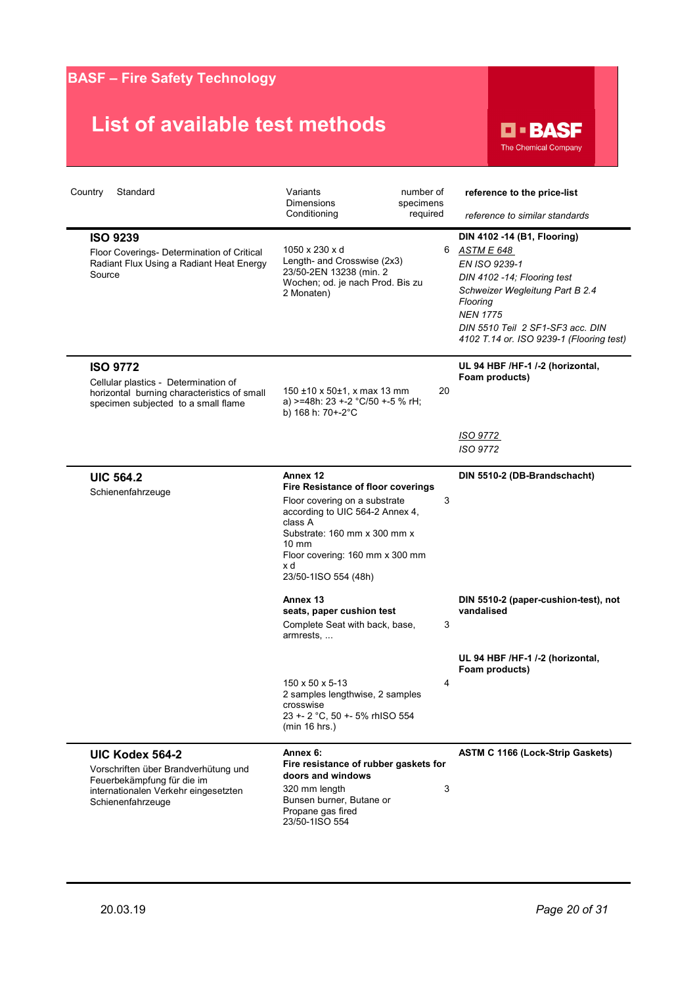

| Country<br>Standard                                                                                                                                | Variants<br><b>Dimensions</b><br>Conditioning                                                                                                                                                                                                             | number of<br>specimens<br>required | reference to the price-list<br>reference to similar standards                                                                                                                                                                               |
|----------------------------------------------------------------------------------------------------------------------------------------------------|-----------------------------------------------------------------------------------------------------------------------------------------------------------------------------------------------------------------------------------------------------------|------------------------------------|---------------------------------------------------------------------------------------------------------------------------------------------------------------------------------------------------------------------------------------------|
| <b>ISO 9239</b><br>Floor Coverings- Determination of Critical<br>Radiant Flux Using a Radiant Heat Energy<br>Source                                | 1050 x 230 x d<br>Length- and Crosswise (2x3)<br>23/50-2EN 13238 (min. 2<br>Wochen; od. je nach Prod. Bis zu<br>2 Monaten)                                                                                                                                | 6                                  | DIN 4102 -14 (B1, Flooring)<br>ASTM E 648<br>EN ISO 9239-1<br>DIN 4102 -14; Flooring test<br>Schweizer Wegleitung Part B 2.4<br>Flooring<br><b>NEN 1775</b><br>DIN 5510 Teil 2 SF1-SF3 acc. DIN<br>4102 T.14 or. ISO 9239-1 (Flooring test) |
| <b>ISO 9772</b><br>Cellular plastics - Determination of<br>horizontal burning characteristics of small<br>specimen subjected to a small flame      | $150 \pm 10 \times 50 \pm 1$ , x max 13 mm<br>a) >=48h: 23 +-2 °C/50 +-5 % rH;<br>b) 168 h: 70+-2°C                                                                                                                                                       | 20                                 | UL 94 HBF /HF-1 /-2 (horizontal,<br>Foam products)                                                                                                                                                                                          |
|                                                                                                                                                    |                                                                                                                                                                                                                                                           |                                    | ISO 9772<br>ISO 9772                                                                                                                                                                                                                        |
| <b>UIC 564.2</b><br>Schienenfahrzeuge                                                                                                              | Annex 12<br><b>Fire Resistance of floor coverings</b><br>Floor covering on a substrate<br>according to UIC 564-2 Annex 4,<br>class A<br>Substrate: 160 mm x 300 mm x<br>$10 \text{ mm}$<br>Floor covering: 160 mm x 300 mm<br>x d<br>23/50-1ISO 554 (48h) | 3                                  | DIN 5510-2 (DB-Brandschacht)                                                                                                                                                                                                                |
|                                                                                                                                                    | Annex 13<br>seats, paper cushion test<br>Complete Seat with back, base,<br>armrests,                                                                                                                                                                      | 3                                  | DIN 5510-2 (paper-cushion-test), not<br>vandalised                                                                                                                                                                                          |
|                                                                                                                                                    |                                                                                                                                                                                                                                                           |                                    | UL 94 HBF /HF-1 /-2 (horizontal,<br>Foam products)                                                                                                                                                                                          |
|                                                                                                                                                    | 150 x 50 x 5-13<br>2 samples lengthwise, 2 samples<br>crosswise<br>23 +- 2 °C, 50 +- 5% rhISO 554<br>(min 16 hrs.)                                                                                                                                        | 4                                  |                                                                                                                                                                                                                                             |
| UIC Kodex 564-2<br>Vorschriften über Brandverhütung und<br>Feuerbekämpfung für die im<br>internationalen Verkehr eingesetzten<br>Schienenfahrzeuge | Annex 6:<br>Fire resistance of rubber gaskets for<br>doors and windows<br>320 mm length<br>Bunsen burner, Butane or<br>Propane gas fired<br>23/50-1ISO 554                                                                                                | 3                                  | <b>ASTM C 1166 (Lock-Strip Gaskets)</b>                                                                                                                                                                                                     |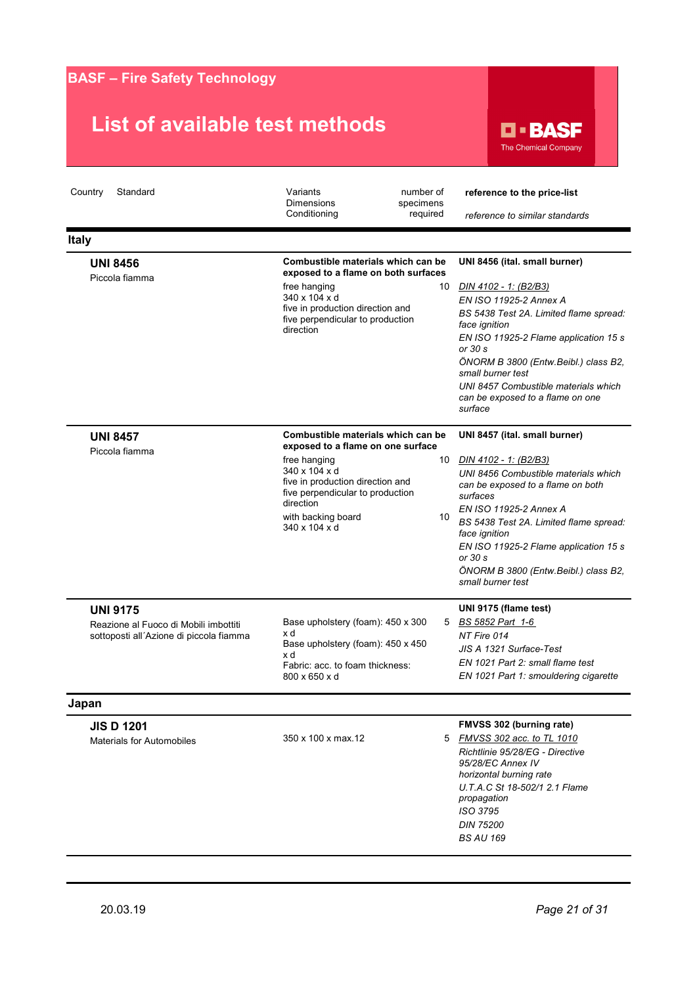

| Country<br>Standard                                                                                 | Variants<br><b>Dimensions</b><br>Conditioning                                                                                                                                                                                        | number of<br>specimens<br>required | reference to the price-list<br>reference to similar standards                                                                                                                                                                                                                                                                                         |
|-----------------------------------------------------------------------------------------------------|--------------------------------------------------------------------------------------------------------------------------------------------------------------------------------------------------------------------------------------|------------------------------------|-------------------------------------------------------------------------------------------------------------------------------------------------------------------------------------------------------------------------------------------------------------------------------------------------------------------------------------------------------|
| <b>Italy</b>                                                                                        |                                                                                                                                                                                                                                      |                                    |                                                                                                                                                                                                                                                                                                                                                       |
| <b>UNI 8456</b><br>Piccola fiamma                                                                   | Combustible materials which can be<br>exposed to a flame on both surfaces<br>free hanging<br>340 x 104 x d<br>five in production direction and<br>five perpendicular to production<br>direction                                      | 10                                 | UNI 8456 (ital. small burner)<br>DIN 4102 - 1: (B2/B3)<br>EN ISO 11925-2 Annex A<br>BS 5438 Test 2A. Limited flame spread:<br>face ignition<br>EN ISO 11925-2 Flame application 15 s<br>or 30 s<br>ÖNORM B 3800 (Entw.Beibl.) class B2,<br>small burner test<br>UNI 8457 Combustible materials which<br>can be exposed to a flame on one<br>surface   |
| <b>UNI 8457</b><br>Piccola fiamma                                                                   | Combustible materials which can be<br>exposed to a flame on one surface<br>free hanging<br>340 x 104 x d<br>five in production direction and<br>five perpendicular to production<br>direction<br>with backing board<br>340 x 104 x d | 10<br>10                           | UNI 8457 (ital. small burner)<br>DIN 4102 - 1: (B2/B3)<br>UNI 8456 Combustible materials which<br>can be exposed to a flame on both<br>surfaces<br>EN ISO 11925-2 Annex A<br>BS 5438 Test 2A. Limited flame spread:<br>face ignition<br>EN ISO 11925-2 Flame application 15 s<br>or 30 s<br>ÖNORM B 3800 (Entw.Beibl.) class B2,<br>small burner test |
| <b>UNI 9175</b><br>Reazione al Fuoco di Mobili imbottiti<br>sottoposti all'Azione di piccola fiamma | Base upholstery (foam): 450 x 300<br>x d<br>Base upholstery (foam): 450 x 450<br>x d<br>Fabric: acc. to foam thickness:<br>800 x 650 x d                                                                                             |                                    | UNI 9175 (flame test)<br>5 BS 5852 Part 1-6<br>NT Fire 014<br>JIS A 1321 Surface-Test<br>EN 1021 Part 2: small flame test<br>EN 1021 Part 1: smouldering cigarette                                                                                                                                                                                    |
| Japan                                                                                               |                                                                                                                                                                                                                                      |                                    |                                                                                                                                                                                                                                                                                                                                                       |
| <b>JIS D 1201</b><br><b>Materials for Automobiles</b>                                               | 350 x 100 x max 12                                                                                                                                                                                                                   | 5                                  | FMVSS 302 (burning rate)<br>FMVSS 302 acc. to TL 1010<br>Richtlinie 95/28/EG - Directive<br>95/28/EC Annex IV<br>horizontal burning rate<br>U.T.A.C St 18-502/1 2.1 Flame<br>propagation<br>ISO 3795<br><b>DIN 75200</b><br><b>BS AU 169</b>                                                                                                          |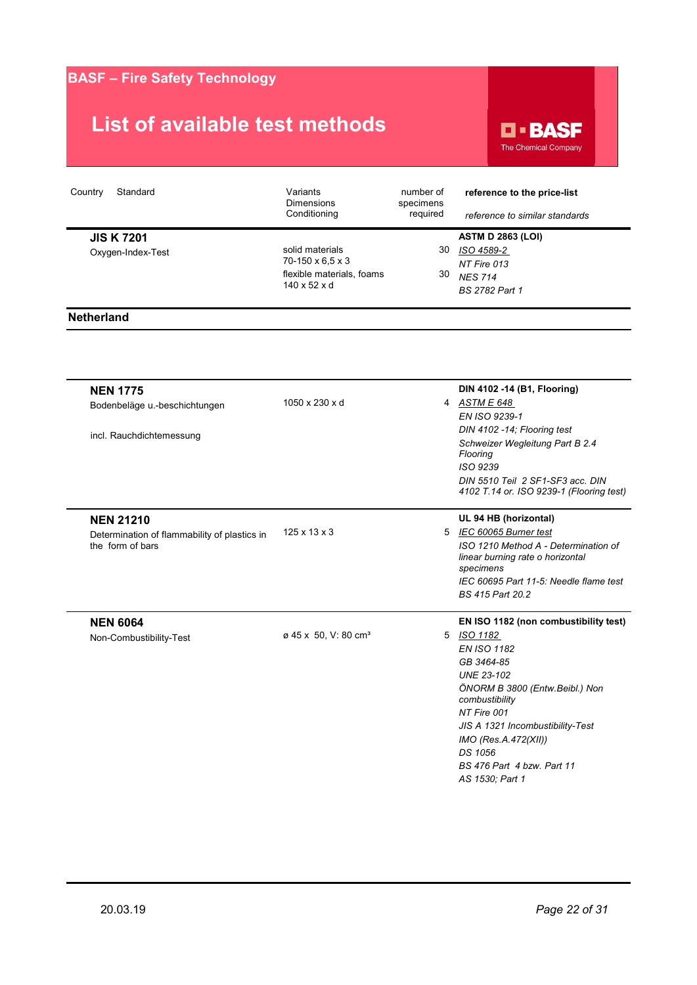

| Standard<br>Country                   | Variants<br><b>Dimensions</b><br>Conditioning                                                | number of<br>specimens<br>required | reference to the price-list<br>reference to similar standards                             |
|---------------------------------------|----------------------------------------------------------------------------------------------|------------------------------------|-------------------------------------------------------------------------------------------|
| <b>JIS K7201</b><br>Oxygen-Index-Test | solid materials<br>70-150 x 6.5 x 3<br>flexible materials, foams<br>$140 \times 52 \times d$ | 30<br>30                           | <b>ASTM D 2863 (LOI)</b><br>ISO 4589-2<br>NT Fire 013<br><b>NES 714</b><br>BS 2782 Part 1 |
| <b>Netherland</b>                     |                                                                                              |                                    |                                                                                           |

| <b>NEN 1775</b>                              |                                  |   | DIN 4102 -14 (B1, Flooring)                      |
|----------------------------------------------|----------------------------------|---|--------------------------------------------------|
| Bodenbeläge u.-beschichtungen                | 1050 x 230 x d                   |   | 4 ASTM E 648                                     |
|                                              |                                  |   | EN ISO 9239-1                                    |
| incl. Rauchdichtemessung                     |                                  |   | DIN 4102 -14; Flooring test                      |
|                                              |                                  |   | Schweizer Wegleitung Part B 2.4<br>Flooring      |
|                                              |                                  |   | ISO 9239                                         |
|                                              |                                  |   | DIN 5510 Teil 2 SF1-SF3 acc. DIN                 |
|                                              |                                  |   | 4102 T.14 or. ISO 9239-1 (Flooring test)         |
| <b>NEN 21210</b>                             |                                  |   | UL 94 HB (horizontal)                            |
| Determination of flammability of plastics in | $125 \times 13 \times 3$         |   | 5 IEC 60065 Burner test                          |
| the form of bars                             |                                  |   | ISO 1210 Method A - Determination of             |
|                                              |                                  |   | linear burning rate o horizontal<br>specimens    |
|                                              |                                  |   | IEC 60695 Part 11-5: Needle flame test           |
|                                              |                                  |   | BS 415 Part 20.2                                 |
| <b>NEN 6064</b>                              |                                  |   | EN ISO 1182 (non combustibility test)            |
| Non-Combustibility-Test                      | ø 45 x 50, V: 80 cm <sup>3</sup> | 5 | ISO 1182                                         |
|                                              |                                  |   | <b>EN ISO 1182</b>                               |
|                                              |                                  |   | GB 3464-85                                       |
|                                              |                                  |   | <b>UNE 23-102</b>                                |
|                                              |                                  |   | ÖNORM B 3800 (Entw.Beibl.) Non<br>combustibility |
|                                              |                                  |   | NT Fire 001                                      |
|                                              |                                  |   | JIS A 1321 Incombustibility-Test                 |
|                                              |                                  |   | IMO (Res.A.472(XII))                             |
|                                              |                                  |   | DS 1056                                          |
|                                              |                                  |   | BS 476 Part 4 bzw. Part 11                       |
|                                              |                                  |   | AS 1530; Part 1                                  |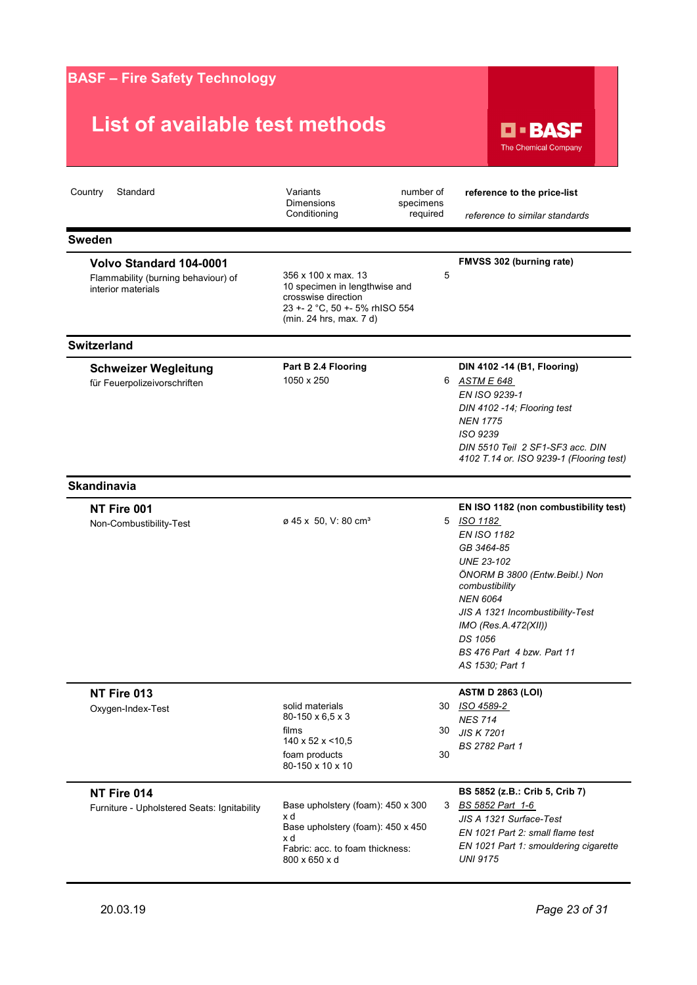| <b>BASF - Fire Safety Technology</b>                                                        |                                                                                                                                          |                                    |                                                                                                                                                                                                                                                                                                             |
|---------------------------------------------------------------------------------------------|------------------------------------------------------------------------------------------------------------------------------------------|------------------------------------|-------------------------------------------------------------------------------------------------------------------------------------------------------------------------------------------------------------------------------------------------------------------------------------------------------------|
| List of available test methods                                                              |                                                                                                                                          |                                    | <b>D - BASF</b><br><b>The Chemical Company</b>                                                                                                                                                                                                                                                              |
| Country<br>Standard                                                                         | Variants<br><b>Dimensions</b><br>Conditioning                                                                                            | number of<br>specimens<br>required | reference to the price-list<br>reference to similar standards                                                                                                                                                                                                                                               |
| <b>Sweden</b>                                                                               |                                                                                                                                          |                                    |                                                                                                                                                                                                                                                                                                             |
| <b>Volvo Standard 104-0001</b><br>Flammability (burning behaviour) of<br>interior materials | 356 x 100 x max. 13<br>10 specimen in lengthwise and<br>crosswise direction<br>23 +- 2 °C, 50 +- 5% rhISO 554<br>(min. 24 hrs, max. 7 d) | 5                                  | FMVSS 302 (burning rate)                                                                                                                                                                                                                                                                                    |
| <b>Switzerland</b>                                                                          |                                                                                                                                          |                                    |                                                                                                                                                                                                                                                                                                             |
| <b>Schweizer Wegleitung</b><br>für Feuerpolizeivorschriften                                 | Part B 2.4 Flooring<br>1050 x 250                                                                                                        |                                    | DIN 4102 -14 (B1, Flooring)<br>6 ASTM E 648<br>EN ISO 9239-1<br>DIN 4102 -14; Flooring test<br><b>NEN 1775</b><br>ISO 9239<br>DIN 5510 Teil 2 SF1-SF3 acc. DIN<br>4102 T.14 or. ISO 9239-1 (Flooring test)                                                                                                  |
| <b>Skandinavia</b>                                                                          |                                                                                                                                          |                                    |                                                                                                                                                                                                                                                                                                             |
| NT Fire 001<br>Non-Combustibility-Test                                                      | ø 45 x 50, V: 80 cm <sup>3</sup>                                                                                                         |                                    | EN ISO 1182 (non combustibility test)<br>5 ISO 1182<br><b>EN ISO 1182</b><br>GB 3464-85<br><b>UNE 23-102</b><br>ÖNORM B 3800 (Entw.Beibl.) Non<br>combustibility<br><b>NEN 6064</b><br>JIS A 1321 Incombustibility-Test<br>IMO (Res.A.472(XII))<br>DS 1056<br>BS 476 Part 4 bzw. Part 11<br>AS 1530; Part 1 |
| NT Fire 013<br>Oxygen-Index-Test                                                            | solid materials<br>80-150 x 6,5 x 3<br>films<br>140 x 52 x < 10,5<br>foam products<br>80-150 x 10 x 10                                   | 30<br>30                           | <b>ASTM D 2863 (LOI)</b><br>30 ISO 4589-2<br><b>NES 714</b><br><b>JIS K 7201</b><br><b>BS 2782 Part 1</b>                                                                                                                                                                                                   |
| NT Fire 014<br>Furniture - Upholstered Seats: Ignitability                                  | Base upholstery (foam): 450 x 300<br>x d<br>Base upholstery (foam): 450 x 450<br>x d<br>Fabric: acc. to foam thickness:<br>800 x 650 x d |                                    | BS 5852 (z.B.: Crib 5, Crib 7)<br>3 BS 5852 Part 1-6<br>JIS A 1321 Surface-Test<br>EN 1021 Part 2: small flame test<br>EN 1021 Part 1: smouldering cigarette<br><b>UNI 9175</b>                                                                                                                             |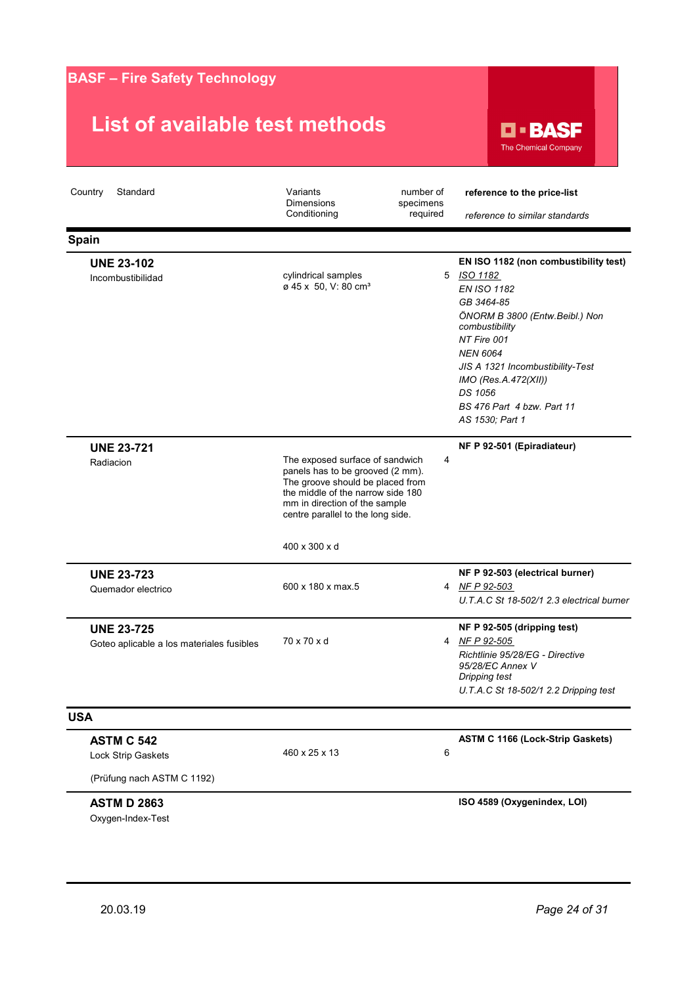| <b>BASF - Fire Safety Technology</b>                                  |                                                                                                                                                                                                                                     |                                    |                                                                                                                                                                                                                                                                                                       |
|-----------------------------------------------------------------------|-------------------------------------------------------------------------------------------------------------------------------------------------------------------------------------------------------------------------------------|------------------------------------|-------------------------------------------------------------------------------------------------------------------------------------------------------------------------------------------------------------------------------------------------------------------------------------------------------|
| List of available test methods                                        |                                                                                                                                                                                                                                     |                                    | <b>D - BASF</b><br><b>The Chemical Company</b>                                                                                                                                                                                                                                                        |
| Country<br>Standard                                                   | Variants<br><b>Dimensions</b><br>Conditioning                                                                                                                                                                                       | number of<br>specimens<br>required | reference to the price-list<br>reference to similar standards                                                                                                                                                                                                                                         |
| <b>Spain</b>                                                          |                                                                                                                                                                                                                                     |                                    |                                                                                                                                                                                                                                                                                                       |
| <b>UNE 23-102</b><br>Incombustibilidad                                | cylindrical samples<br>ø 45 x 50, V: 80 cm <sup>3</sup>                                                                                                                                                                             |                                    | EN ISO 1182 (non combustibility test)<br>5 ISO 1182<br><b>EN ISO 1182</b><br>GB 3464-85<br>ÖNORM B 3800 (Entw.Beibl.) Non<br>combustibility<br>NT Fire 001<br><b>NEN 6064</b><br>JIS A 1321 Incombustibility-Test<br>IMO (Res.A.472(XII))<br>DS 1056<br>BS 476 Part 4 bzw. Part 11<br>AS 1530; Part 1 |
| <b>UNE 23-721</b><br>Radiacion                                        | The exposed surface of sandwich<br>panels has to be grooved (2 mm).<br>The groove should be placed from<br>the middle of the narrow side 180<br>mm in direction of the sample<br>centre parallel to the long side.<br>400 x 300 x d | 4                                  | NF P 92-501 (Epiradiateur)                                                                                                                                                                                                                                                                            |
| <b>UNE 23-723</b><br>Quemador electrico                               | 600 x 180 x max.5                                                                                                                                                                                                                   |                                    | NF P 92-503 (electrical burner)<br>4 NF P 92-503<br>U.T.A.C St 18-502/1 2.3 electrical burner                                                                                                                                                                                                         |
| <b>UNE 23-725</b><br>Goteo aplicable a los materiales fusibles        | 70 x 70 x d                                                                                                                                                                                                                         |                                    | NF P 92-505 (dripping test)<br>4 NF P 92-505<br>Richtlinie 95/28/EG - Directive<br>95/28/EC Annex V<br>Dripping test<br>U.T.A.C St 18-502/1 2.2 Dripping test                                                                                                                                         |
| <b>USA</b>                                                            |                                                                                                                                                                                                                                     |                                    |                                                                                                                                                                                                                                                                                                       |
| <b>ASTM C 542</b><br>Lock Strip Gaskets<br>(Prüfung nach ASTM C 1192) | 460 x 25 x 13                                                                                                                                                                                                                       | 6                                  | <b>ASTM C 1166 (Lock-Strip Gaskets)</b>                                                                                                                                                                                                                                                               |
| <b>ASTM D 2863</b><br>Oxygen-Index-Test                               |                                                                                                                                                                                                                                     |                                    | ISO 4589 (Oxygenindex, LOI)                                                                                                                                                                                                                                                                           |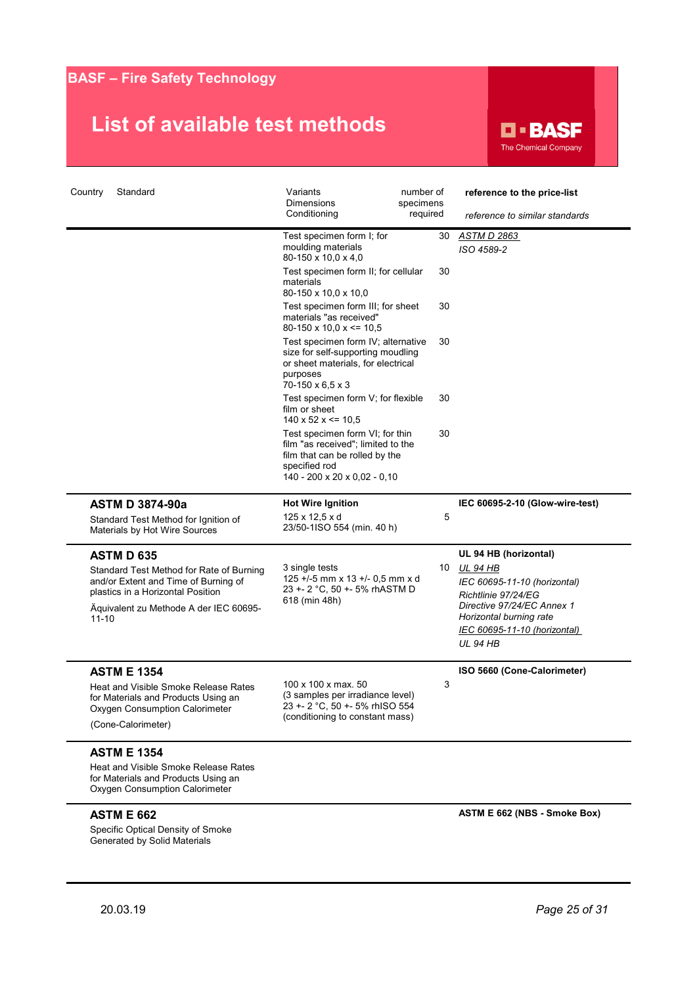

| Country<br>Standard                                                                                                                                                                               | Variants<br>Dimensions                                                                                                                                               | number of<br>specimens | reference to the price-list                                                                                                                                                                          |
|---------------------------------------------------------------------------------------------------------------------------------------------------------------------------------------------------|----------------------------------------------------------------------------------------------------------------------------------------------------------------------|------------------------|------------------------------------------------------------------------------------------------------------------------------------------------------------------------------------------------------|
|                                                                                                                                                                                                   | Conditioning                                                                                                                                                         | required               | reference to similar standards                                                                                                                                                                       |
|                                                                                                                                                                                                   | Test specimen form I; for<br>moulding materials<br>80-150 x 10,0 x 4,0                                                                                               | 30                     | <u>ASTM D 2863</u><br>ISO 4589-2                                                                                                                                                                     |
|                                                                                                                                                                                                   | Test specimen form II; for cellular<br>materials<br>80-150 x 10,0 x 10,0                                                                                             | 30                     |                                                                                                                                                                                                      |
|                                                                                                                                                                                                   | Test specimen form III; for sheet<br>materials "as received"<br>$80-150 \times 10,0 \times \le 10,5$                                                                 | 30                     |                                                                                                                                                                                                      |
|                                                                                                                                                                                                   | Test specimen form IV; alternative<br>size for self-supporting moudling<br>or sheet materials, for electrical<br>purposes<br>70-150 x 6,5 x 3                        | 30                     |                                                                                                                                                                                                      |
|                                                                                                                                                                                                   | Test specimen form V; for flexible<br>film or sheet<br>$140 \times 52 \times \le 10.5$                                                                               | 30                     |                                                                                                                                                                                                      |
|                                                                                                                                                                                                   | Test specimen form VI; for thin<br>film "as received"; limited to the<br>film that can be rolled by the<br>specified rod<br>$140 - 200 \times 20 \times 0.02 - 0.10$ | 30                     |                                                                                                                                                                                                      |
| <b>ASTM D 3874-90a</b><br>Standard Test Method for Ignition of<br>Materials by Hot Wire Sources                                                                                                   | <b>Hot Wire Ignition</b><br>$125 \times 12.5 \times d$<br>23/50-1ISO 554 (min. 40 h)                                                                                 | 5                      | IEC 60695-2-10 (Glow-wire-test)                                                                                                                                                                      |
| <b>ASTM D 635</b><br>Standard Test Method for Rate of Burning<br>and/or Extent and Time of Burning of<br>plastics in a Horizontal Position<br>Aquivalent zu Methode A der IEC 60695-<br>$11 - 10$ | 3 single tests<br>125 +/-5 mm x 13 +/- 0,5 mm x d<br>23 +- 2 °C, 50 +- 5% rhASTM D<br>618 (min 48h)                                                                  | 10                     | UL 94 HB (horizontal)<br>UL 94 HB<br>IEC 60695-11-10 (horizontal)<br>Richtlinie 97/24/EG<br>Directive 97/24/EC Annex 1<br>Horizontal burning rate<br>IEC 60695-11-10 (horizontal)<br><b>UL 94 HB</b> |
| <b>ASTM E 1354</b><br>Heat and Visible Smoke Release Rates<br>for Materials and Products Using an<br>Oxygen Consumption Calorimeter<br>(Cone-Calorimeter)                                         | 100 x 100 x max. 50<br>(3 samples per irradiance level)<br>23 +- 2 °C, 50 +- 5% rhISO 554<br>(conditioning to constant mass)                                         | 3                      | ISO 5660 (Cone-Calorimeter)                                                                                                                                                                          |
| <b>ASTM E 1354</b><br>Heat and Visible Smoke Release Rates<br>for Materials and Products Using an<br>Oxygen Consumption Calorimeter                                                               |                                                                                                                                                                      |                        |                                                                                                                                                                                                      |
| <b>ASTM E 662</b>                                                                                                                                                                                 |                                                                                                                                                                      |                        | ASTM E 662 (NBS - Smoke Box)                                                                                                                                                                         |
| Specific Optical Density of Smoke<br>Generated by Solid Materials                                                                                                                                 |                                                                                                                                                                      |                        |                                                                                                                                                                                                      |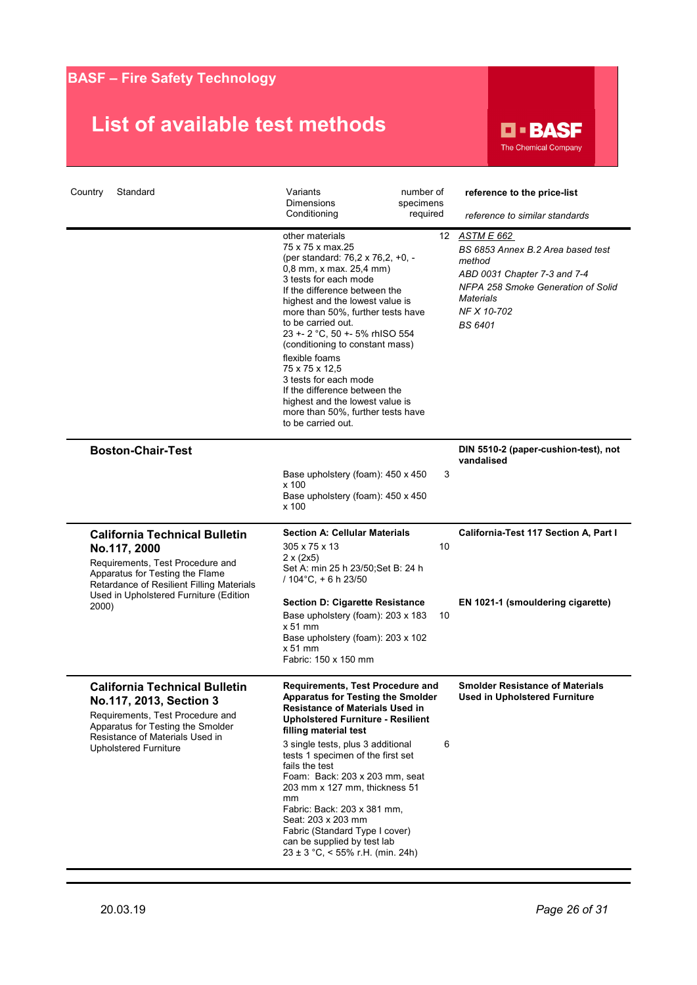# **List of available test methods**

**D-BASF** The Chemical Company

| Country<br>Standard                                                                                                                                                         | Variants<br>Dimensions<br>Conditioning                                                                                                                                                                                                                                                                                                                                                                                                                                                                                       | number of<br>specimens<br>required | reference to the price-list<br>reference to similar standards                                                                                                                           |
|-----------------------------------------------------------------------------------------------------------------------------------------------------------------------------|------------------------------------------------------------------------------------------------------------------------------------------------------------------------------------------------------------------------------------------------------------------------------------------------------------------------------------------------------------------------------------------------------------------------------------------------------------------------------------------------------------------------------|------------------------------------|-----------------------------------------------------------------------------------------------------------------------------------------------------------------------------------------|
|                                                                                                                                                                             | other materials<br>75 x 75 x max.25<br>(per standard: 76,2 x 76,2, +0, -<br>0,8 mm, x max. 25,4 mm)<br>3 tests for each mode<br>If the difference between the<br>highest and the lowest value is<br>more than 50%, further tests have<br>to be carried out.<br>23 +- 2 °C, 50 +- 5% rhISO 554<br>(conditioning to constant mass)<br>flexible foams<br>75 x 75 x 12,5<br>3 tests for each mode<br>If the difference between the<br>highest and the lowest value is<br>more than 50%, further tests have<br>to be carried out. |                                    | 12 ASTM E 662<br>BS 6853 Annex B.2 Area based test<br>method<br>ABD 0031 Chapter 7-3 and 7-4<br>NFPA 258 Smoke Generation of Solid<br><b>Materials</b><br>NF X 10-702<br><b>BS 6401</b> |
| <b>Boston-Chair-Test</b>                                                                                                                                                    |                                                                                                                                                                                                                                                                                                                                                                                                                                                                                                                              |                                    | DIN 5510-2 (paper-cushion-test), not<br>vandalised                                                                                                                                      |
|                                                                                                                                                                             | Base upholstery (foam): 450 x 450<br>x 100<br>Base upholstery (foam): 450 x 450<br>x 100                                                                                                                                                                                                                                                                                                                                                                                                                                     | 3                                  |                                                                                                                                                                                         |
| <b>California Technical Bulletin</b><br>No.117, 2000<br>Requirements, Test Procedure and<br>Apparatus for Testing the Flame<br>Retardance of Resilient Filling Materials    | <b>Section A: Cellular Materials</b><br>305 x 75 x 13<br>$2 \times (2 \times 5)$<br>Set A: min 25 h 23/50 Set B: 24 h<br>$/104^{\circ}$ C, + 6 h 23/50                                                                                                                                                                                                                                                                                                                                                                       | 10                                 | California-Test 117 Section A, Part I                                                                                                                                                   |
| Used in Upholstered Furniture (Edition<br>2000)                                                                                                                             | <b>Section D: Cigarette Resistance</b><br>Base upholstery (foam): 203 x 183<br>$x 51$ mm<br>Base upholstery (foam): 203 x 102<br>$x 51$ mm<br>Fabric: 150 x 150 mm                                                                                                                                                                                                                                                                                                                                                           | 10                                 | EN 1021-1 (smouldering cigarette)                                                                                                                                                       |
| <b>California Technical Bulletin</b><br>No.117, 2013, Section 3<br>Requirements, Test Procedure and<br>Apparatus for Testing the Smolder<br>Resistance of Materials Used in | <b>Requirements, Test Procedure and</b><br><b>Apparatus for Testing the Smolder</b><br>Resistance of Materials Used in<br><b>Upholstered Furniture - Resilient</b><br>filling material test                                                                                                                                                                                                                                                                                                                                  |                                    | <b>Smolder Resistance of Materials</b><br><b>Used in Upholstered Furniture</b>                                                                                                          |
| <b>Upholstered Furniture</b>                                                                                                                                                | 3 single tests, plus 3 additional<br>tests 1 specimen of the first set<br>fails the test<br>Foam: Back: 203 x 203 mm, seat<br>203 mm x 127 mm, thickness 51<br>mm<br>Fabric: Back: 203 x 381 mm,<br>Seat: 203 x 203 mm<br>Fabric (Standard Type I cover)<br>can be supplied by test lab<br>$23 \pm 3$ °C, < 55% r.H. (min. 24h)                                                                                                                                                                                              | 6                                  |                                                                                                                                                                                         |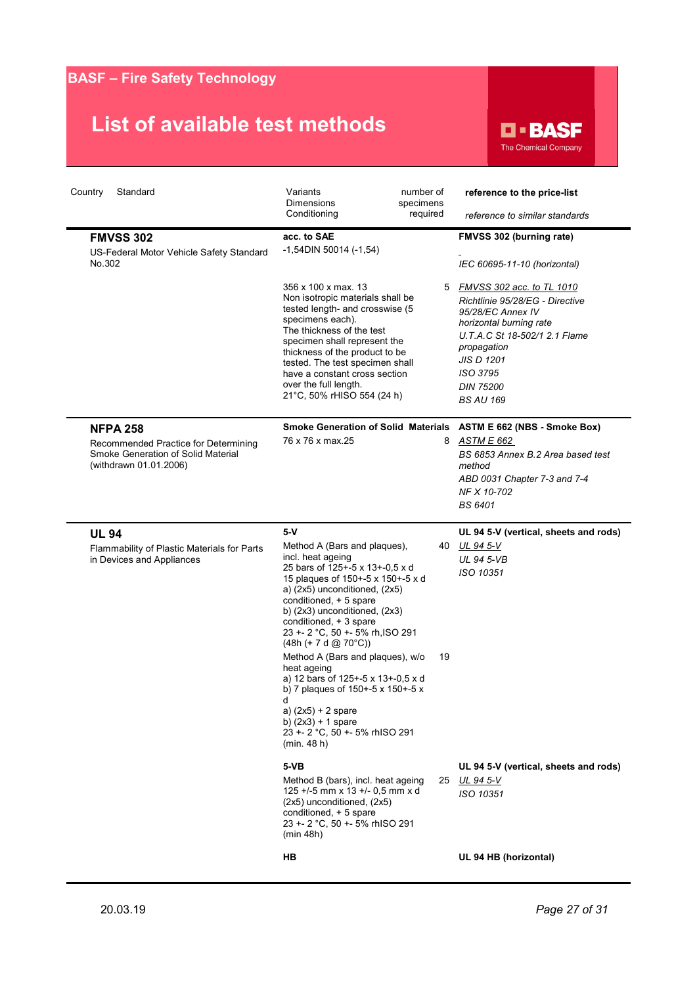

| Standard<br>Country                                                                                                     | Variants<br>number of<br><b>Dimensions</b><br>specimens<br>Conditioning<br>required                                                                                                                                                                                                                                                                                                                                                                                                              | reference to the price-list<br>reference to similar standards                                                                                                                                                                         |
|-------------------------------------------------------------------------------------------------------------------------|--------------------------------------------------------------------------------------------------------------------------------------------------------------------------------------------------------------------------------------------------------------------------------------------------------------------------------------------------------------------------------------------------------------------------------------------------------------------------------------------------|---------------------------------------------------------------------------------------------------------------------------------------------------------------------------------------------------------------------------------------|
| <b>FMVSS 302</b><br>US-Federal Motor Vehicle Safety Standard<br>No.302                                                  | acc. to SAE<br>$-1,54$ DIN 50014 (-1,54)                                                                                                                                                                                                                                                                                                                                                                                                                                                         | FMVSS 302 (burning rate)<br>IEC 60695-11-10 (horizontal)                                                                                                                                                                              |
|                                                                                                                         | 356 x 100 x max. 13<br>5<br>Non isotropic materials shall be<br>tested length- and crosswise (5<br>specimens each).<br>The thickness of the test<br>specimen shall represent the<br>thickness of the product to be<br>tested. The test specimen shall<br>have a constant cross section<br>over the full length.<br>21°C, 50% rHISO 554 (24 h)                                                                                                                                                    | FMVSS 302 acc. to TL 1010<br>Richtlinie 95/28/EG - Directive<br>95/28/EC Annex IV<br>horizontal burning rate<br>U.T.A.C St 18-502/1 2.1 Flame<br>propagation<br><b>JIS D 1201</b><br>ISO 3795<br><b>DIN 75200</b><br><b>BS AU 169</b> |
| <b>NFPA 258</b><br>Recommended Practice for Determining<br>Smoke Generation of Solid Material<br>(withdrawn 01.01.2006) | <b>Smoke Generation of Solid Materials</b><br>76 x 76 x max.25                                                                                                                                                                                                                                                                                                                                                                                                                                   | ASTM E 662 (NBS - Smoke Box)<br>8 ASTM E 662<br>BS 6853 Annex B.2 Area based test<br>method<br>ABD 0031 Chapter 7-3 and 7-4<br>NF X 10-702<br><b>BS 6401</b>                                                                          |
| <b>UL 94</b>                                                                                                            | $5-V$                                                                                                                                                                                                                                                                                                                                                                                                                                                                                            | UL 94 5-V (vertical, sheets and rods)                                                                                                                                                                                                 |
| Flammability of Plastic Materials for Parts<br>in Devices and Appliances                                                | Method A (Bars and plaques),<br>40.<br>incl. heat ageing                                                                                                                                                                                                                                                                                                                                                                                                                                         | UL 94 5-V<br><b>UL 94 5-VB</b>                                                                                                                                                                                                        |
|                                                                                                                         | 25 bars of 125+-5 x 13+-0,5 x d<br>15 plaques of 150+-5 x 150+-5 x d<br>a) (2x5) unconditioned, (2x5)<br>conditioned, + 5 spare<br>b) (2x3) unconditioned, (2x3)<br>conditioned, + 3 spare<br>23 +- 2 °C, 50 +- 5% rh, ISO 291<br>$(48h (+ 7 d @ 70°C))$<br>Method A (Bars and plaques), w/o<br>19<br>heat ageing<br>a) 12 bars of 125+-5 x 13+-0,5 x d<br>b) 7 plaques of 150+-5 x 150+-5 x<br>d<br>a) $(2x5) + 2$ spare<br>b) $(2x3) + 1$ spare<br>23 +- 2 °C, 50 +- 5% rhISO 291<br>(min.48h) | ISO 10351                                                                                                                                                                                                                             |
|                                                                                                                         | 5-VB<br>Method B (bars), incl. heat ageing<br>125 +/-5 mm x 13 +/- 0,5 mm x d<br>(2x5) unconditioned, (2x5)<br>conditioned, + 5 spare<br>23 +- 2 °C, 50 +- 5% rhISO 291<br>(min 48h)                                                                                                                                                                                                                                                                                                             | UL 94 5-V (vertical, sheets and rods)<br>25 UL 94 5-V<br>ISO 10351                                                                                                                                                                    |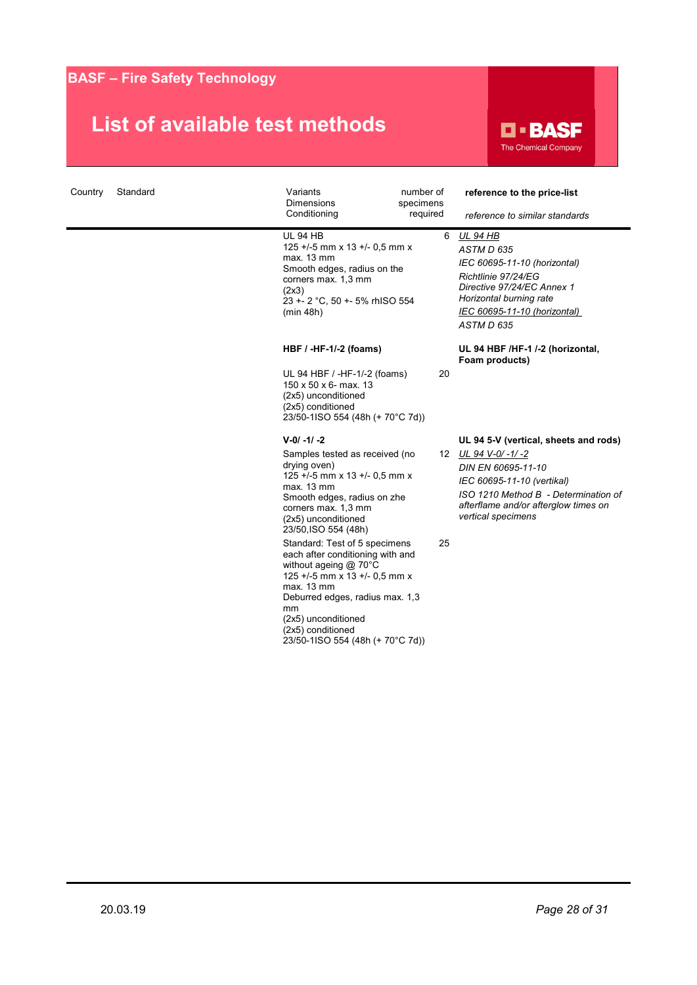

| Country | Standard | Variants<br><b>Dimensions</b><br>Conditioning                                                                                                                                                                                                                                                                                                                                                                                                                                                    | number of<br>specimens<br>required | reference to the price-list<br>reference to similar standards                                                                                                                                                         |
|---------|----------|--------------------------------------------------------------------------------------------------------------------------------------------------------------------------------------------------------------------------------------------------------------------------------------------------------------------------------------------------------------------------------------------------------------------------------------------------------------------------------------------------|------------------------------------|-----------------------------------------------------------------------------------------------------------------------------------------------------------------------------------------------------------------------|
|         |          | <b>UL 94 HB</b><br>125 +/-5 mm x 13 +/- 0,5 mm x<br>max. 13 mm<br>Smooth edges, radius on the<br>corners max. 1,3 mm<br>(2x3)<br>23 +- 2 °C, 50 +- 5% rhISO 554<br>(min 48h)                                                                                                                                                                                                                                                                                                                     | 6                                  | <u>UL 94 HB</u><br>ASTM D 635<br>IEC 60695-11-10 (horizontal)<br>Richtlinie 97/24/EG<br>Directive 97/24/EC Annex 1<br>Horizontal burning rate<br>IEC 60695-11-10 (horizontal)<br>ASTM D 635                           |
|         |          | HBF / -HF-1/-2 (foams)                                                                                                                                                                                                                                                                                                                                                                                                                                                                           |                                    | UL 94 HBF /HF-1 /-2 (horizontal,<br>Foam products)                                                                                                                                                                    |
|         |          | UL 94 HBF / -HF-1/-2 (foams)<br>150 x 50 x 6- max. 13<br>(2x5) unconditioned<br>(2x5) conditioned<br>23/50-1ISO 554 (48h (+ 70°C 7d))                                                                                                                                                                                                                                                                                                                                                            | 20                                 |                                                                                                                                                                                                                       |
|         |          | $V - 0/ -1/ -2$<br>Samples tested as received (no<br>drying oven)<br>125 +/-5 mm x 13 +/- 0,5 mm x<br>max. 13 mm<br>Smooth edges, radius on zhe<br>corners max. 1,3 mm<br>(2x5) unconditioned<br>23/50, ISO 554 (48h)<br>Standard: Test of 5 specimens<br>each after conditioning with and<br>without ageing $@$ 70 $°C$<br>125 +/-5 mm x 13 +/- 0,5 mm x<br>max. 13 mm<br>Deburred edges, radius max. 1,3<br>mm<br>(2x5) unconditioned<br>(2x5) conditioned<br>23/50-1ISO 554 (48h (+ 70°C 7d)) | 25                                 | UL 94 5-V (vertical, sheets and rods)<br>12 UL 94 V-0/-1/-2<br>DIN EN 60695-11-10<br>IEC 60695-11-10 (vertikal)<br>ISO 1210 Method B - Determination of<br>afterflame and/or afterglow times on<br>vertical specimens |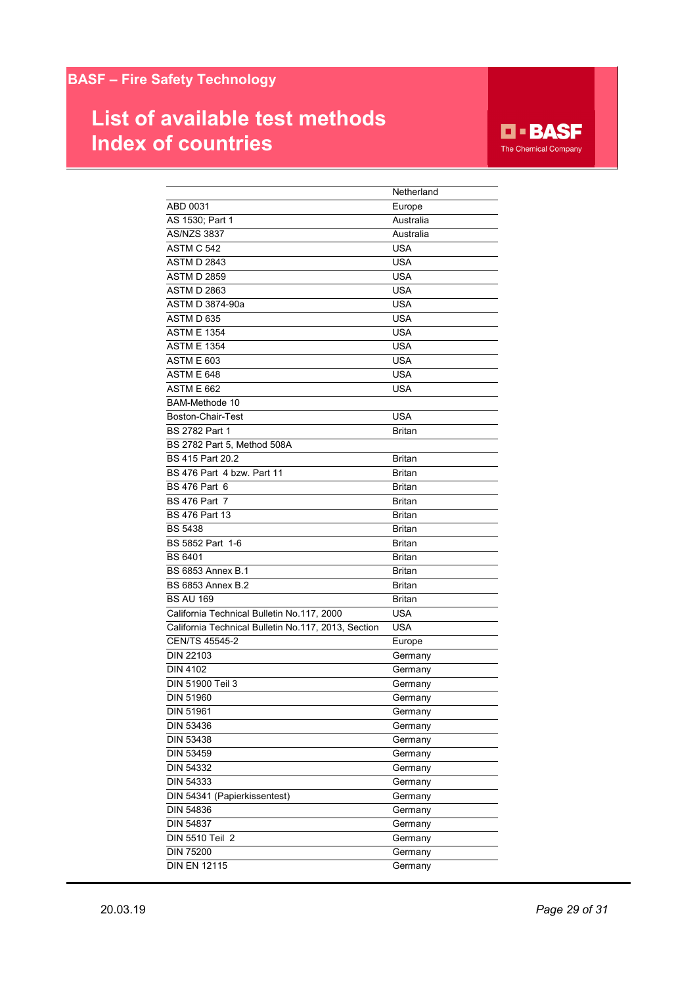# **List of available test methods Index of countries**

**D-BASF** The Chemical Company

|                                                     | Netherland    |
|-----------------------------------------------------|---------------|
| ABD 0031                                            | Europe        |
| AS 1530; Part 1                                     | Australia     |
| <b>AS/NZS 3837</b>                                  | Australia     |
| ASTM C 542                                          | <b>USA</b>    |
| <b>ASTM D 2843</b>                                  | <b>USA</b>    |
| <b>ASTM D 2859</b>                                  | USA           |
| <b>ASTM D 2863</b>                                  | USA           |
| ASTM D 3874-90a                                     | USA           |
| ASTM D 635                                          | USA           |
| <b>ASTM E 1354</b>                                  | USA           |
| <b>ASTM E 1354</b>                                  | USA           |
| ASTM E 603                                          | USA           |
| ASTM E 648                                          | USA           |
| <b>ASTM E 662</b>                                   | USA           |
| <b>BAM-Methode 10</b>                               |               |
| Boston-Chair-Test                                   | <b>USA</b>    |
| <b>BS 2782 Part 1</b>                               | <b>Britan</b> |
| BS 2782 Part 5. Method 508A                         |               |
| BS 415 Part 20.2                                    | <b>Britan</b> |
| BS 476 Part 4 bzw. Part 11                          | <b>Britan</b> |
| <b>BS 476 Part 6</b>                                | <b>Britan</b> |
| <b>BS 476 Part 7</b>                                | <b>Britan</b> |
| <b>BS 476 Part 13</b>                               | <b>Britan</b> |
| <b>BS 5438</b>                                      | <b>Britan</b> |
| BS 5852 Part 1-6                                    | <b>Britan</b> |
| <b>BS 6401</b>                                      | <b>Britan</b> |
| <b>BS 6853 Annex B.1</b>                            | <b>Britan</b> |
| <b>BS 6853 Annex B.2</b>                            | <b>Britan</b> |
| <b>BS AU 169</b>                                    | <b>Britan</b> |
| California Technical Bulletin No.117, 2000          | USA           |
| California Technical Bulletin No.117, 2013, Section | USA           |
| CEN/TS 45545-2                                      | Europe        |
| <b>DIN 22103</b>                                    | Germany       |
| DIN 4102                                            | Germany       |
| DIN 51900 Teil 3                                    | Germany       |
| DIN 51960                                           | Germany       |
| DIN 51961                                           | Germany       |
| DIN 53436                                           | Germany       |
| DIN 53438                                           | Germany       |
| <b>DIN 53459</b>                                    | Germany       |
| DIN 54332                                           | Germany       |
| DIN 54333                                           | Germany       |
| DIN 54341 (Papierkissentest)                        | Germany       |
| DIN 54836                                           | Germany       |
| DIN 54837                                           | Germany       |
| DIN 5510 Teil 2                                     | Germany       |
| DIN 75200                                           | Germany       |
| <b>DIN EN 12115</b>                                 | Germany       |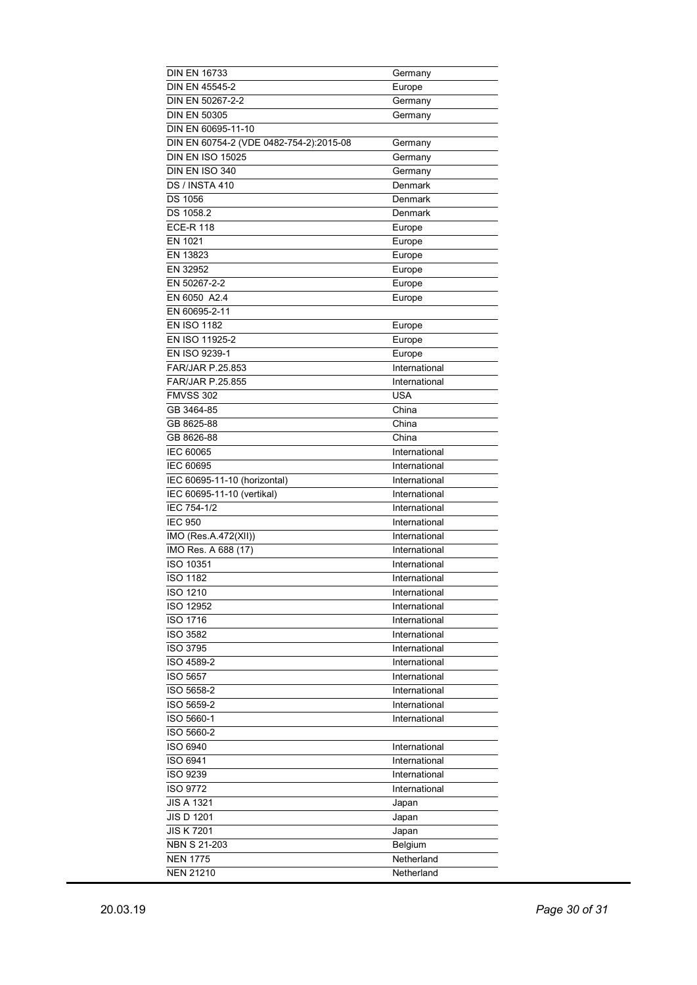| <b>DIN EN 16733</b>                     | Germany       |
|-----------------------------------------|---------------|
| DIN EN 45545-2                          | Europe        |
| DIN EN 50267-2-2                        | Germany       |
| <b>DIN EN 50305</b>                     | Germany       |
| DIN EN 60695-11-10                      |               |
| DIN EN 60754-2 (VDE 0482-754-2):2015-08 | Germany       |
| <b>DIN EN ISO 15025</b>                 | Germany       |
| DIN EN ISO 340                          | Germany       |
| <b>DS / INSTA 410</b>                   | Denmark       |
| <b>DS 1056</b>                          | Denmark       |
| DS 1058.2                               | Denmark       |
| <b>ECE-R 118</b>                        |               |
|                                         | Europe        |
| EN 1021                                 | Europe        |
| EN 13823                                | Europe        |
| EN 32952                                | Europe        |
| EN 50267-2-2                            | Europe        |
| EN 6050 A2.4                            | Europe        |
| EN 60695-2-11                           |               |
| <b>EN ISO 1182</b>                      | Europe        |
| EN ISO 11925-2                          | Europe        |
| EN ISO 9239-1                           | Europe        |
| FAR/JAR P.25.853                        | International |
| <b>FAR/JAR P.25.855</b>                 | International |
| <b>FMVSS 302</b>                        | <b>USA</b>    |
|                                         | China         |
| GB 3464-85                              |               |
| GB 8625-88                              | China         |
| GB 8626-88                              | China         |
| IEC 60065                               | International |
| IEC 60695                               | International |
|                                         |               |
| IEC 60695-11-10 (horizontal)            | International |
| IEC 60695-11-10 (vertikal)              | International |
| IEC 754-1/2                             | International |
| <b>IEC 950</b>                          | International |
| IMO (Res.A.472(XII))                    | International |
|                                         | International |
| IMO Res. A 688 (17)                     |               |
| ISO 10351                               | International |
| <b>ISO 1182</b>                         | International |
| ISO 1210                                | International |
| ISO 12952                               | International |
| ISO 1716                                | International |
| <b>ISO 3582</b>                         | International |
| <b>ISO 3795</b>                         | International |
| ISO 4589-2                              | International |
| <b>ISO 5657</b>                         | International |
| ISO 5658-2                              | International |
| ISO 5659-2                              | International |
| ISO 5660-1                              | International |
| ISO 5660-2                              |               |
| ISO 6940                                | International |
| ISO 6941                                | International |
|                                         |               |
| <b>ISO 9239</b>                         | International |
| <b>ISO 9772</b>                         | International |
| <b>JIS A 1321</b>                       | Japan         |
| <b>JIS D 1201</b>                       | Japan         |
| <b>JIS K 7201</b>                       | Japan         |
| <b>NBN S 21-203</b>                     | Belgium       |
| <b>NEN 1775</b><br><b>NEN 21210</b>     | Netherland    |